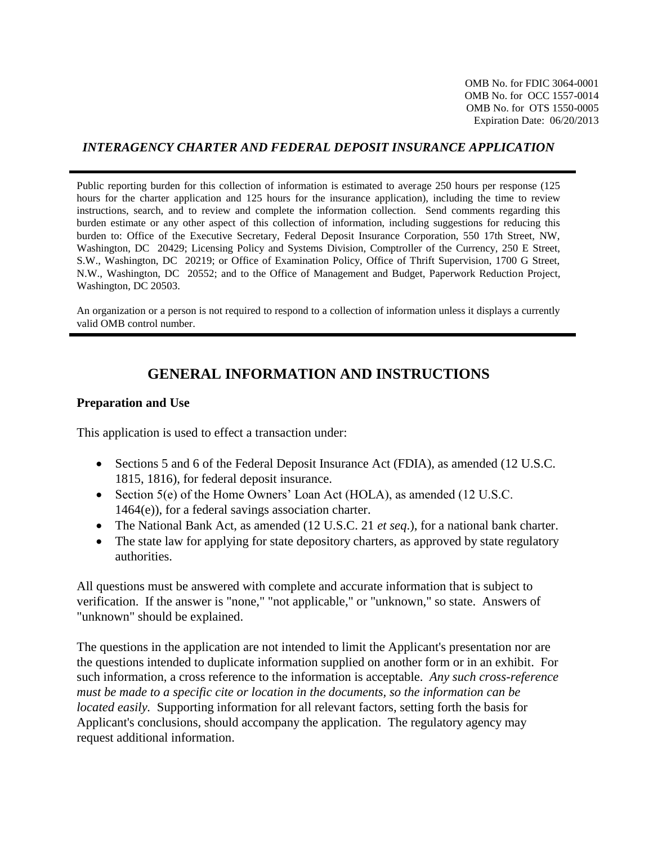OMB No. for FDIC 3064-0001 OMB No. for OCC 1557-0014 OMB No. for OTS 1550-0005 Expiration Date: 06/20/2013

#### *INTERAGENCY CHARTER AND FEDERAL DEPOSIT INSURANCE APPLICATION*

Public reporting burden for this collection of information is estimated to average 250 hours per response (125 hours for the charter application and 125 hours for the insurance application), including the time to review instructions, search, and to review and complete the information collection. Send comments regarding this burden estimate or any other aspect of this collection of information, including suggestions for reducing this burden to: Office of the Executive Secretary, Federal Deposit Insurance Corporation, 550 17th Street, NW, Washington, DC 20429; Licensing Policy and Systems Division, Comptroller of the Currency, 250 E Street, S.W., Washington, DC 20219; or Office of Examination Policy, Office of Thrift Supervision, 1700 G Street, N.W., Washington, DC 20552; and to the Office of Management and Budget, Paperwork Reduction Project, Washington, DC 20503.

An organization or a person is not required to respond to a collection of information unless it displays a currently valid OMB control number.

## **GENERAL INFORMATION AND INSTRUCTIONS**

#### **Preparation and Use**

This application is used to effect a transaction under:

- Sections 5 and 6 of the Federal Deposit Insurance Act (FDIA), as amended (12 U.S.C. 1815, 1816), for federal deposit insurance.
- Section 5(e) of the Home Owners' Loan Act (HOLA), as amended (12 U.S.C. 1464(e)), for a federal savings association charter.
- The National Bank Act, as amended (12 U.S.C. 21 *et seq*.), for a national bank charter.
- The state law for applying for state depository charters, as approved by state regulatory authorities.

All questions must be answered with complete and accurate information that is subject to verification. If the answer is "none," "not applicable," or "unknown," so state. Answers of "unknown" should be explained.

The questions in the application are not intended to limit the Applicant's presentation nor are the questions intended to duplicate information supplied on another form or in an exhibit. For such information, a cross reference to the information is acceptable. *Any such cross-reference must be made to a specific cite or location in the documents, so the information can be located easily.* Supporting information for all relevant factors, setting forth the basis for Applicant's conclusions, should accompany the application. The regulatory agency may request additional information.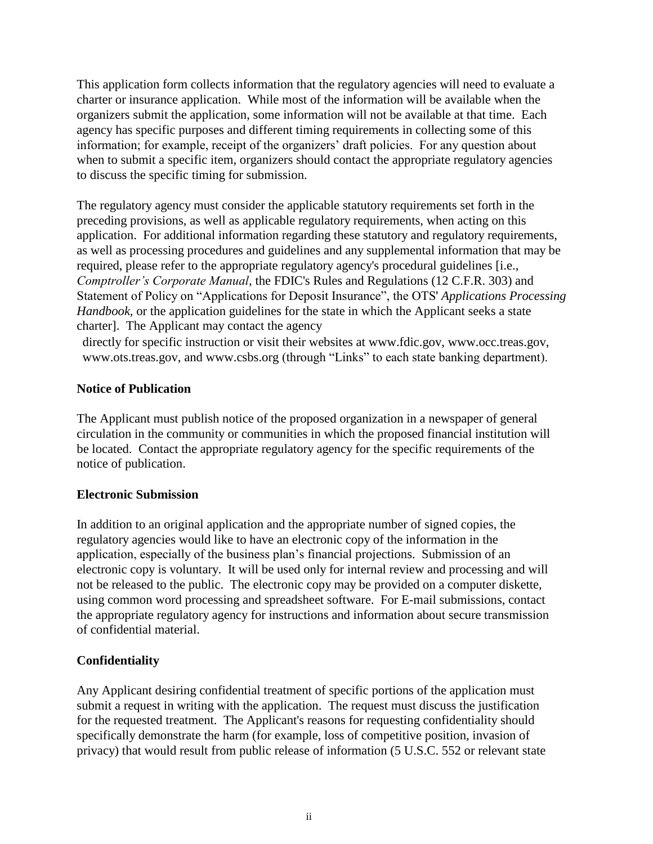This application form collects information that the regulatory agencies will need to evaluate a charter or insurance application. While most of the information will be available when the organizers submit the application, some information will not be available at that time. Each agency has specific purposes and different timing requirements in collecting some of this information; for example, receipt of the organizers' draft policies. For any question about when to submit a specific item, organizers should contact the appropriate regulatory agencies to discuss the specific timing for submission.

The regulatory agency must consider the applicable statutory requirements set forth in the preceding provisions, as well as applicable regulatory requirements, when acting on this application. For additional information regarding these statutory and regulatory requirements, as well as processing procedures and guidelines and any supplemental information that may be required, please refer to the appropriate regulatory agency's procedural guidelines [i.e., *Comptroller's Corporate Manual*, the FDIC's Rules and Regulations (12 C.F.R. 303) and Statement of Policy on "Applications for Deposit Insurance", the OTS' *Applications Processing Handbook,* or the application guidelines for the state in which the Applicant seeks a state charter]. The Applicant may contact the agency

directly for specific instruction or visit their websites at [www.fdic.gov,](http://www.fdic.gov/) [www.occ.treas.gov,](http://www.occ.treas.gov/) [www.ots.treas.gov,](http://www.ots.treas.gov/) and [www.csbs.org](http://www.csbs.org/) (through "Links" to each state banking department).

#### **Notice of Publication**

The Applicant must publish notice of the proposed organization in a newspaper of general circulation in the community or communities in which the proposed financial institution will be located. Contact the appropriate regulatory agency for the specific requirements of the notice of publication.

#### **Electronic Submission**

In addition to an original application and the appropriate number of signed copies, the regulatory agencies would like to have an electronic copy of the information in the application, especially of the business plan's financial projections. Submission of an electronic copy is voluntary. It will be used only for internal review and processing and will not be released to the public. The electronic copy may be provided on a computer diskette, using common word processing and spreadsheet software. For E-mail submissions, contact the appropriate regulatory agency for instructions and information about secure transmission of confidential material.

#### **Confidentiality**

Any Applicant desiring confidential treatment of specific portions of the application must submit a request in writing with the application. The request must discuss the justification for the requested treatment. The Applicant's reasons for requesting confidentiality should specifically demonstrate the harm (for example, loss of competitive position, invasion of privacy) that would result from public release of information (5 U.S.C. 552 or relevant state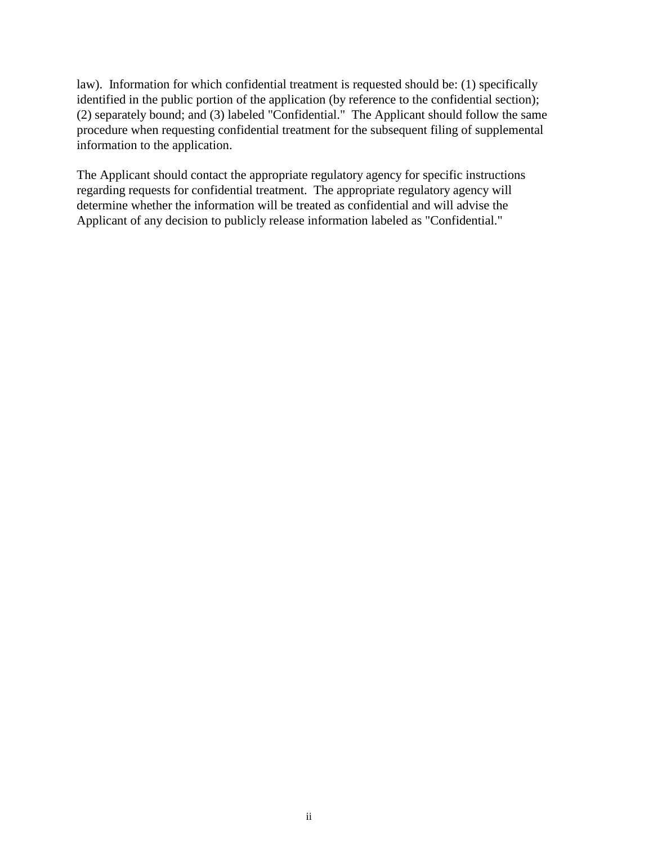law). Information for which confidential treatment is requested should be: (1) specifically identified in the public portion of the application (by reference to the confidential section); (2) separately bound; and (3) labeled "Confidential." The Applicant should follow the same procedure when requesting confidential treatment for the subsequent filing of supplemental information to the application.

The Applicant should contact the appropriate regulatory agency for specific instructions regarding requests for confidential treatment. The appropriate regulatory agency will determine whether the information will be treated as confidential and will advise the Applicant of any decision to publicly release information labeled as "Confidential."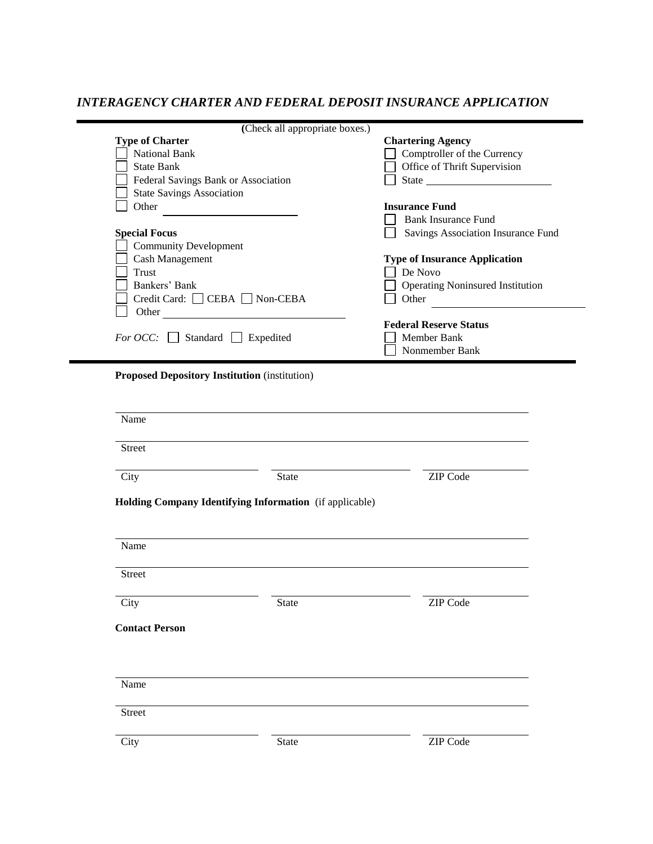## *INTERAGENCY CHARTER AND FEDERAL DEPOSIT INSURANCE APPLICATION*

| <b>Type of Charter</b><br><b>National Bank</b><br><b>State Bank</b><br>Federal Savings Bank or Association<br><b>State Savings Association</b><br>Other<br><b>Special Focus</b><br><b>Community Development</b><br>Cash Management<br><b>Trust</b><br>Bankers' Bank | (Check all appropriate boxes.)<br>Credit Card: CEBA Non-CEBA<br>Other <u>the contract of</u> the contract of the contract of the contract of the contract of the contract of the contract of the contract of the contract of the contract of the contract of the contract of the contract of the co | <b>Chartering Agency</b><br>Comptroller of the Currency<br>Office of Thrift Supervision<br><b>Insurance Fund</b><br><b>Bank Insurance Fund</b><br>Savings Association Insurance Fund<br><b>Type of Insurance Application</b><br>De Novo<br><b>Operating Noninsured Institution</b><br>Other |
|---------------------------------------------------------------------------------------------------------------------------------------------------------------------------------------------------------------------------------------------------------------------|-----------------------------------------------------------------------------------------------------------------------------------------------------------------------------------------------------------------------------------------------------------------------------------------------------|---------------------------------------------------------------------------------------------------------------------------------------------------------------------------------------------------------------------------------------------------------------------------------------------|
| <i>For OCC</i> : $\Box$ Standard $\Box$ Expedited                                                                                                                                                                                                                   |                                                                                                                                                                                                                                                                                                     | <b>Federal Reserve Status</b><br>Member Bank<br>Nonmember Bank                                                                                                                                                                                                                              |
| <b>Proposed Depository Institution (institution)</b>                                                                                                                                                                                                                |                                                                                                                                                                                                                                                                                                     |                                                                                                                                                                                                                                                                                             |
| Name                                                                                                                                                                                                                                                                |                                                                                                                                                                                                                                                                                                     |                                                                                                                                                                                                                                                                                             |
|                                                                                                                                                                                                                                                                     |                                                                                                                                                                                                                                                                                                     |                                                                                                                                                                                                                                                                                             |
| <b>Street</b>                                                                                                                                                                                                                                                       |                                                                                                                                                                                                                                                                                                     |                                                                                                                                                                                                                                                                                             |
| City                                                                                                                                                                                                                                                                | State                                                                                                                                                                                                                                                                                               | <b>ZIP</b> Code                                                                                                                                                                                                                                                                             |
| Name<br>Street                                                                                                                                                                                                                                                      | Holding Company Identifying Information (if applicable)                                                                                                                                                                                                                                             |                                                                                                                                                                                                                                                                                             |
| City                                                                                                                                                                                                                                                                | State                                                                                                                                                                                                                                                                                               | ZIP Code                                                                                                                                                                                                                                                                                    |
| <b>Contact Person</b><br>Name                                                                                                                                                                                                                                       |                                                                                                                                                                                                                                                                                                     |                                                                                                                                                                                                                                                                                             |
| <b>Street</b>                                                                                                                                                                                                                                                       |                                                                                                                                                                                                                                                                                                     |                                                                                                                                                                                                                                                                                             |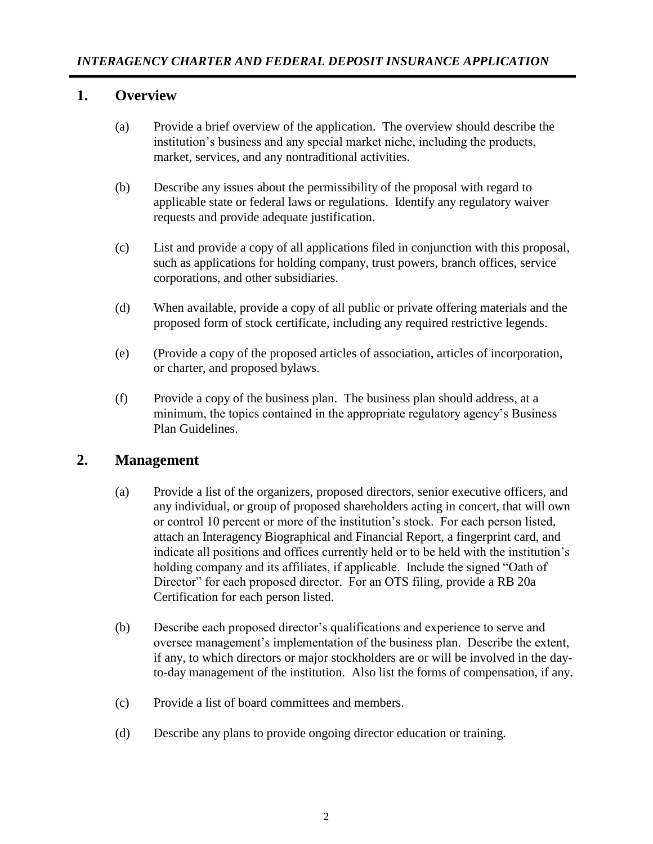### **1. Overview**

- (a) Provide a brief overview of the application. The overview should describe the institution's business and any special market niche, including the products, market, services, and any nontraditional activities.
- (b) Describe any issues about the permissibility of the proposal with regard to applicable state or federal laws or regulations. Identify any regulatory waiver requests and provide adequate justification.
- (c) List and provide a copy of all applications filed in conjunction with this proposal, such as applications for holding company, trust powers, branch offices, service corporations, and other subsidiaries.
- (d) When available, provide a copy of all public or private offering materials and the proposed form of stock certificate, including any required restrictive legends.
- (e) (Provide a copy of the proposed articles of association, articles of incorporation, or charter, and proposed bylaws.
- (f) Provide a copy of the business plan. The business plan should address, at a minimum, the topics contained in the appropriate regulatory agency's Business Plan Guidelines.

#### **2. Management**

- (a) Provide a list of the organizers, proposed directors, senior executive officers, and any individual, or group of proposed shareholders acting in concert, that will own or control 10 percent or more of the institution's stock. For each person listed, attach an Interagency Biographical and Financial Report, a fingerprint card, and indicate all positions and offices currently held or to be held with the institution's holding company and its affiliates, if applicable. Include the signed "Oath of Director" for each proposed director. For an OTS filing, provide a RB 20a Certification for each person listed.
- (b) Describe each proposed director's qualifications and experience to serve and oversee management's implementation of the business plan. Describe the extent, if any, to which directors or major stockholders are or will be involved in the dayto-day management of the institution. Also list the forms of compensation, if any.
- (c) Provide a list of board committees and members.
- (d) Describe any plans to provide ongoing director education or training.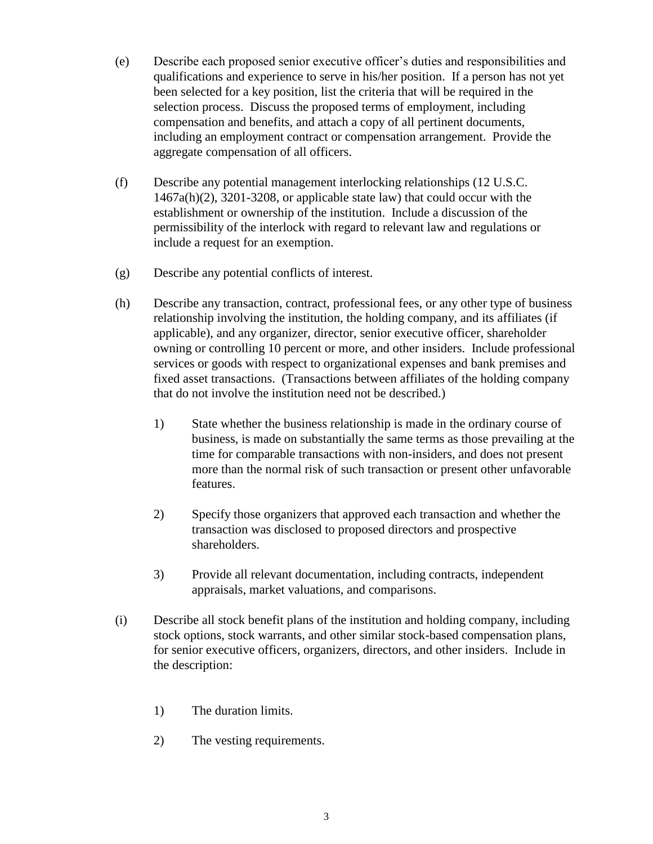- (e) Describe each proposed senior executive officer's duties and responsibilities and qualifications and experience to serve in his/her position. If a person has not yet been selected for a key position, list the criteria that will be required in the selection process. Discuss the proposed terms of employment, including compensation and benefits, and attach a copy of all pertinent documents, including an employment contract or compensation arrangement. Provide the aggregate compensation of all officers.
- (f) Describe any potential management interlocking relationships (12 U.S.C. 1467a(h)(2), 3201-3208, or applicable state law) that could occur with the establishment or ownership of the institution. Include a discussion of the permissibility of the interlock with regard to relevant law and regulations or include a request for an exemption.
- (g) Describe any potential conflicts of interest.
- (h) Describe any transaction, contract, professional fees, or any other type of business relationship involving the institution, the holding company, and its affiliates (if applicable), and any organizer, director, senior executive officer, shareholder owning or controlling 10 percent or more, and other insiders. Include professional services or goods with respect to organizational expenses and bank premises and fixed asset transactions. (Transactions between affiliates of the holding company that do not involve the institution need not be described.)
	- 1) State whether the business relationship is made in the ordinary course of business, is made on substantially the same terms as those prevailing at the time for comparable transactions with non-insiders, and does not present more than the normal risk of such transaction or present other unfavorable features.
	- 2) Specify those organizers that approved each transaction and whether the transaction was disclosed to proposed directors and prospective shareholders.
	- 3) Provide all relevant documentation, including contracts, independent appraisals, market valuations, and comparisons.
- (i) Describe all stock benefit plans of the institution and holding company, including stock options, stock warrants, and other similar stock-based compensation plans, for senior executive officers, organizers, directors, and other insiders. Include in the description:
	- 1) The duration limits.
	- 2) The vesting requirements.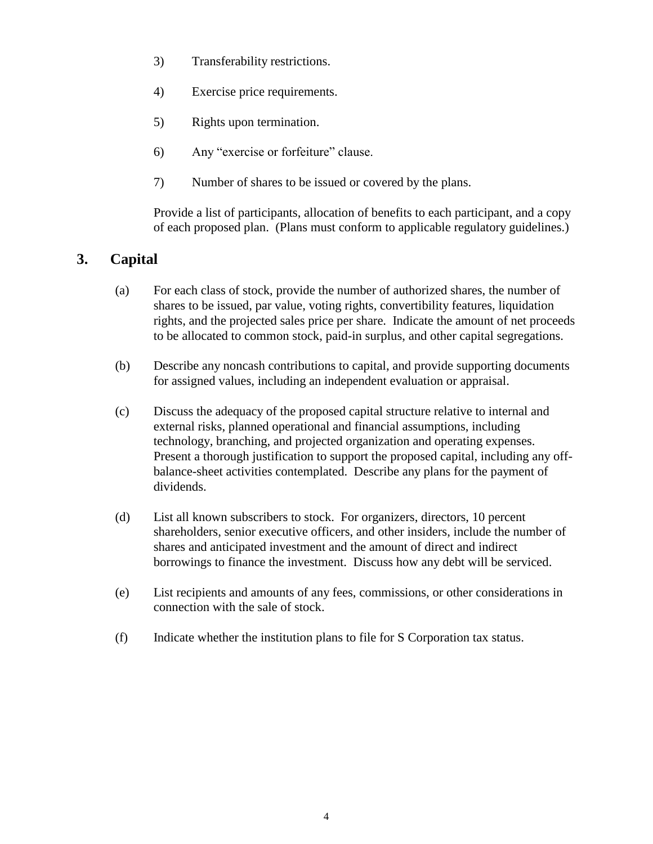- 3) Transferability restrictions.
- 4) Exercise price requirements.
- 5) Rights upon termination.
- 6) Any "exercise or forfeiture" clause.
- 7) Number of shares to be issued or covered by the plans.

Provide a list of participants, allocation of benefits to each participant, and a copy of each proposed plan. (Plans must conform to applicable regulatory guidelines.)

# **3. Capital**

- (a) For each class of stock, provide the number of authorized shares, the number of shares to be issued, par value, voting rights, convertibility features, liquidation rights, and the projected sales price per share. Indicate the amount of net proceeds to be allocated to common stock, paid-in surplus, and other capital segregations.
- (b) Describe any noncash contributions to capital, and provide supporting documents for assigned values, including an independent evaluation or appraisal.
- (c) Discuss the adequacy of the proposed capital structure relative to internal and external risks, planned operational and financial assumptions, including technology, branching, and projected organization and operating expenses. Present a thorough justification to support the proposed capital, including any offbalance-sheet activities contemplated. Describe any plans for the payment of dividends.
- (d) List all known subscribers to stock. For organizers, directors, 10 percent shareholders, senior executive officers, and other insiders, include the number of shares and anticipated investment and the amount of direct and indirect borrowings to finance the investment. Discuss how any debt will be serviced.
- (e) List recipients and amounts of any fees, commissions, or other considerations in connection with the sale of stock.
- (f) Indicate whether the institution plans to file for S Corporation tax status.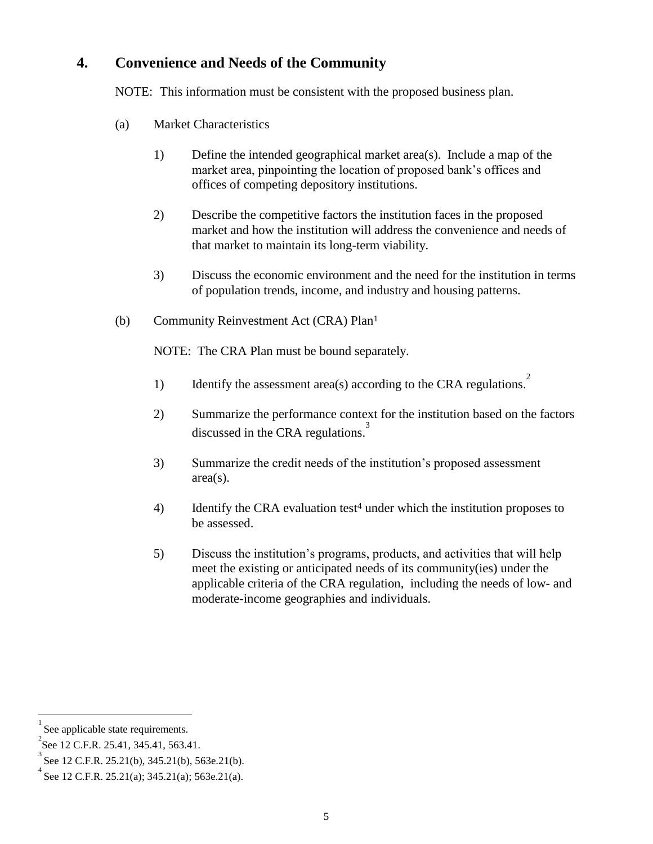## **4. Convenience and Needs of the Community**

NOTE: This information must be consistent with the proposed business plan.

- (a) Market Characteristics
	- 1) Define the intended geographical market area(s). Include a map of the market area, pinpointing the location of proposed bank's offices and offices of competing depository institutions.
	- 2) Describe the competitive factors the institution faces in the proposed market and how the institution will address the convenience and needs of that market to maintain its long-term viability.
	- 3) Discuss the economic environment and the need for the institution in terms of population trends, income, and industry and housing patterns.
- (b) Community Reinvestment Act (CRA) Plan<sup>1</sup>

NOTE: The CRA Plan must be bound separately.

- 1) Identify the assessment area(s) according to the CRA regulations.<sup>2</sup>
- 2) Summarize the performance context for the institution based on the factors discussed in the CRA regulations. 3
- 3) Summarize the credit needs of the institution's proposed assessment area(s).
- 4) Identify the CRA evaluation test<sup>4</sup> under which the institution proposes to be assessed.
- 5) Discuss the institution's programs, products, and activities that will help meet the existing or anticipated needs of its community(ies) under the applicable criteria of the CRA regulation, including the needs of low- and moderate-income geographies and individuals.

<sup>1</sup> See applicable state requirements.

<sup>&</sup>lt;sup>2</sup> See 12 C.F.R. 25.41, 345.41, 563.41.

<sup>3</sup> See 12 C.F.R. 25.21(b), 345.21(b), 563e.21(b).

<sup>4</sup> See 12 C.F.R. 25.21(a); 345.21(a); 563e.21(a).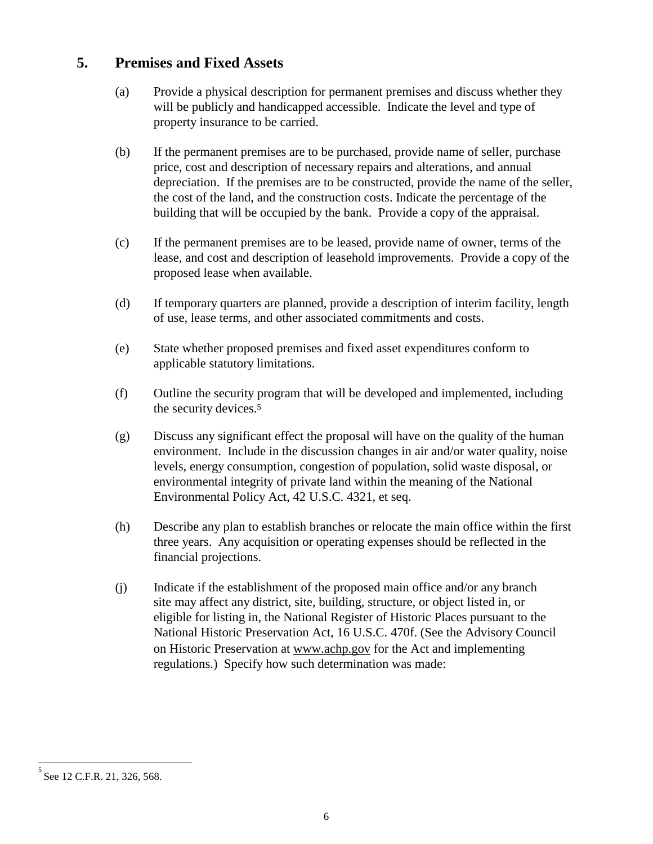## **5. Premises and Fixed Assets**

- (a) Provide a physical description for permanent premises and discuss whether they will be publicly and handicapped accessible. Indicate the level and type of property insurance to be carried.
- (b) If the permanent premises are to be purchased, provide name of seller, purchase price, cost and description of necessary repairs and alterations, and annual depreciation. If the premises are to be constructed, provide the name of the seller, the cost of the land, and the construction costs. Indicate the percentage of the building that will be occupied by the bank. Provide a copy of the appraisal.
- (c) If the permanent premises are to be leased, provide name of owner, terms of the lease, and cost and description of leasehold improvements. Provide a copy of the proposed lease when available.
- (d) If temporary quarters are planned, provide a description of interim facility, length of use, lease terms, and other associated commitments and costs.
- (e) State whether proposed premises and fixed asset expenditures conform to applicable statutory limitations.
- (f) Outline the security program that will be developed and implemented, including the security devices.<sup>5</sup>
- (g) Discuss any significant effect the proposal will have on the quality of the human environment. Include in the discussion changes in air and/or water quality, noise levels, energy consumption, congestion of population, solid waste disposal, or environmental integrity of private land within the meaning of the National Environmental Policy Act, 42 U.S.C. 4321, et seq.
- (h) Describe any plan to establish branches or relocate the main office within the first three years. Any acquisition or operating expenses should be reflected in the financial projections.
- (j) Indicate if the establishment of the proposed main office and/or any branch site may affect any district, site, building, structure, or object listed in, or eligible for listing in, the National Register of Historic Places pursuant to the National Historic Preservation Act, 16 U.S.C. 470f. (See the Advisory Council on Historic Preservation at [www.achp.gov](http://www.achp.gov/) for the Act and implementing regulations.) Specify how such determination was made:

<sup>5</sup> See 12 C.F.R. 21, 326, 568.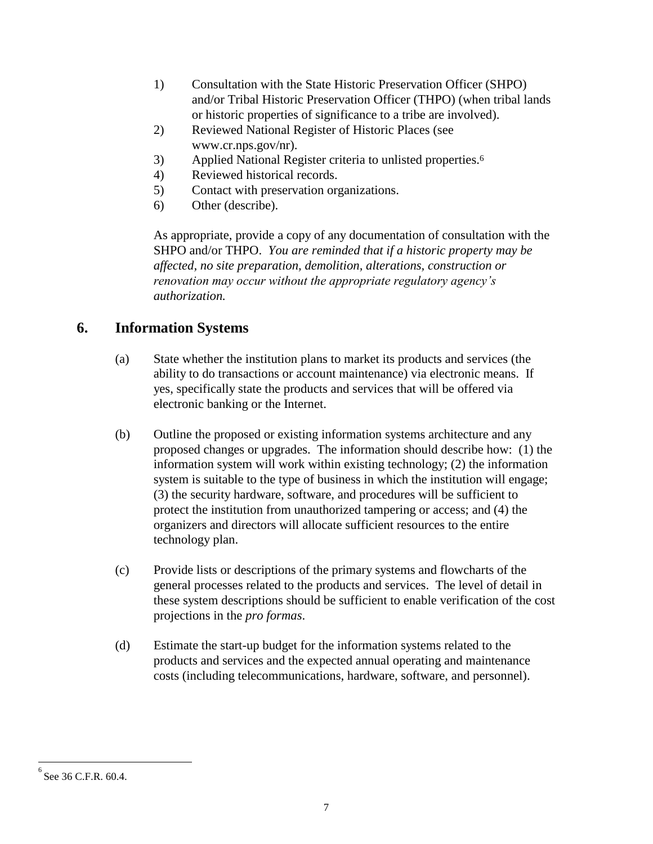- 1) Consultation with the State Historic Preservation Officer (SHPO) and/or Tribal Historic Preservation Officer (THPO) (when tribal lands or historic properties of significance to a tribe are involved).
- 2) Reviewed National Register of Historic Places (see www.cr.nps.gov/nr).
- 3) Applied National Register criteria to unlisted properties.<sup>6</sup>
- 4) Reviewed historical records.
- 5) Contact with preservation organizations.
- 6) Other (describe).

As appropriate, provide a copy of any documentation of consultation with the SHPO and/or THPO. *You are reminded that if a historic property may be affected, no site preparation, demolition, alterations, construction or renovation may occur without the appropriate regulatory agency's authorization.*

# **6. Information Systems**

- (a) State whether the institution plans to market its products and services (the ability to do transactions or account maintenance) via electronic means. If yes, specifically state the products and services that will be offered via electronic banking or the Internet.
- (b) Outline the proposed or existing information systems architecture and any proposed changes or upgrades. The information should describe how: (1) the information system will work within existing technology; (2) the information system is suitable to the type of business in which the institution will engage; (3) the security hardware, software, and procedures will be sufficient to protect the institution from unauthorized tampering or access; and (4) the organizers and directors will allocate sufficient resources to the entire technology plan.
- (c) Provide lists or descriptions of the primary systems and flowcharts of the general processes related to the products and services. The level of detail in these system descriptions should be sufficient to enable verification of the cost projections in the *pro formas*.
- (d) Estimate the start-up budget for the information systems related to the products and services and the expected annual operating and maintenance costs (including telecommunications, hardware, software, and personnel).

<sup>6</sup> See 36 C.F.R. 60.4.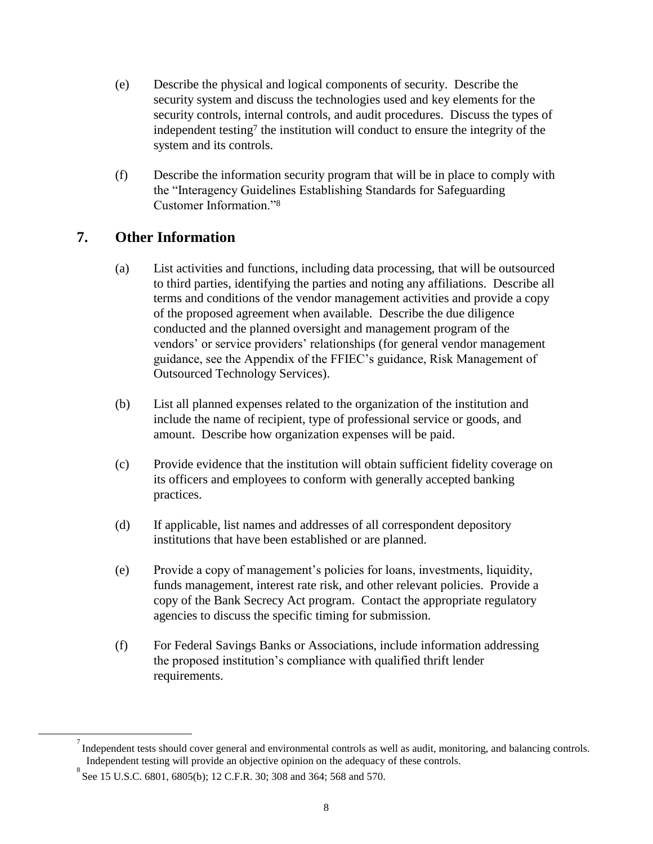- (e) Describe the physical and logical components of security. Describe the security system and discuss the technologies used and key elements for the security controls, internal controls, and audit procedures. Discuss the types of independent testing<sup>7</sup> the institution will conduct to ensure the integrity of the system and its controls.
- (f) Describe the information security program that will be in place to comply with the "Interagency Guidelines Establishing Standards for Safeguarding Customer Information."<sup>8</sup>

## **7. Other Information**

- (a) List activities and functions, including data processing, that will be outsourced to third parties, identifying the parties and noting any affiliations. Describe all terms and conditions of the vendor management activities and provide a copy of the proposed agreement when available. Describe the due diligence conducted and the planned oversight and management program of the vendors' or service providers' relationships (for general vendor management guidance, see the Appendix of the FFIEC's guidance, Risk Management of Outsourced Technology Services).
- (b) List all planned expenses related to the organization of the institution and include the name of recipient, type of professional service or goods, and amount. Describe how organization expenses will be paid.
- (c) Provide evidence that the institution will obtain sufficient fidelity coverage on its officers and employees to conform with generally accepted banking practices.
- (d) If applicable, list names and addresses of all correspondent depository institutions that have been established or are planned.
- (e) Provide a copy of management's policies for loans, investments, liquidity, funds management, interest rate risk, and other relevant policies. Provide a copy of the Bank Secrecy Act program. Contact the appropriate regulatory agencies to discuss the specific timing for submission.
- (f) For Federal Savings Banks or Associations, include information addressing the proposed institution's compliance with qualified thrift lender requirements.

 $\sigma$  Independent tests should cover general and environmental controls as well as audit, monitoring, and balancing controls. Independent testing will provide an objective opinion on the adequacy of these controls.

<sup>&</sup>lt;sup>8</sup> See 15 U.S.C. 6801, 6805(b); 12 C.F.R. 30; 308 and 364; 568 and 570.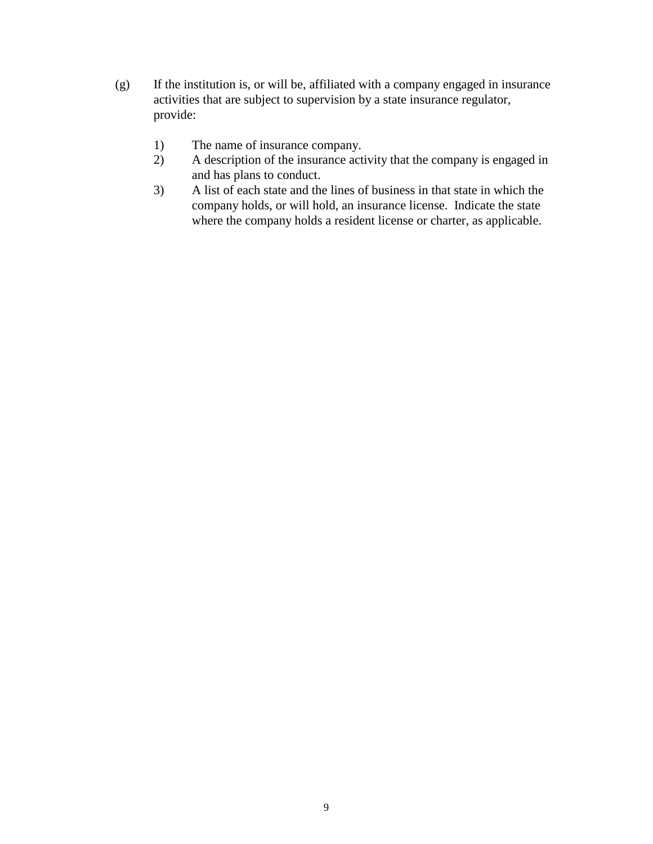- (g) If the institution is, or will be, affiliated with a company engaged in insurance activities that are subject to supervision by a state insurance regulator, provide:
	- 1) The name of insurance company.
	- 2) A description of the insurance activity that the company is engaged in and has plans to conduct.
	- 3) A list of each state and the lines of business in that state in which the company holds, or will hold, an insurance license. Indicate the state where the company holds a resident license or charter, as applicable.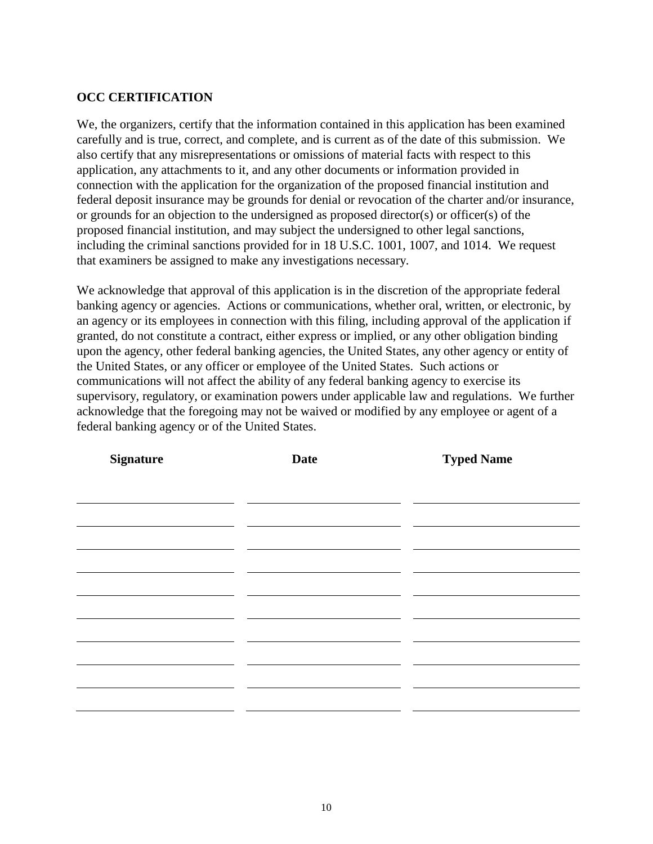#### **OCC CERTIFICATION**

We, the organizers, certify that the information contained in this application has been examined carefully and is true, correct, and complete, and is current as of the date of this submission. We also certify that any misrepresentations or omissions of material facts with respect to this application, any attachments to it, and any other documents or information provided in connection with the application for the organization of the proposed financial institution and federal deposit insurance may be grounds for denial or revocation of the charter and/or insurance, or grounds for an objection to the undersigned as proposed director(s) or officer(s) of the proposed financial institution, and may subject the undersigned to other legal sanctions, including the criminal sanctions provided for in 18 U.S.C. 1001, 1007, and 1014. We request that examiners be assigned to make any investigations necessary.

We acknowledge that approval of this application is in the discretion of the appropriate federal banking agency or agencies. Actions or communications, whether oral, written, or electronic, by an agency or its employees in connection with this filing, including approval of the application if granted, do not constitute a contract, either express or implied, or any other obligation binding upon the agency, other federal banking agencies, the United States, any other agency or entity of the United States, or any officer or employee of the United States. Such actions or communications will not affect the ability of any federal banking agency to exercise its supervisory, regulatory, or examination powers under applicable law and regulations. We further acknowledge that the foregoing may not be waived or modified by any employee or agent of a federal banking agency or of the United States.

| <b>Signature</b> | <b>Date</b> | <b>Typed Name</b> |  |
|------------------|-------------|-------------------|--|
|                  |             |                   |  |
|                  |             |                   |  |
|                  |             |                   |  |
|                  |             |                   |  |
|                  |             |                   |  |
|                  |             |                   |  |
|                  |             |                   |  |
|                  |             |                   |  |
|                  |             |                   |  |
|                  |             |                   |  |
|                  |             |                   |  |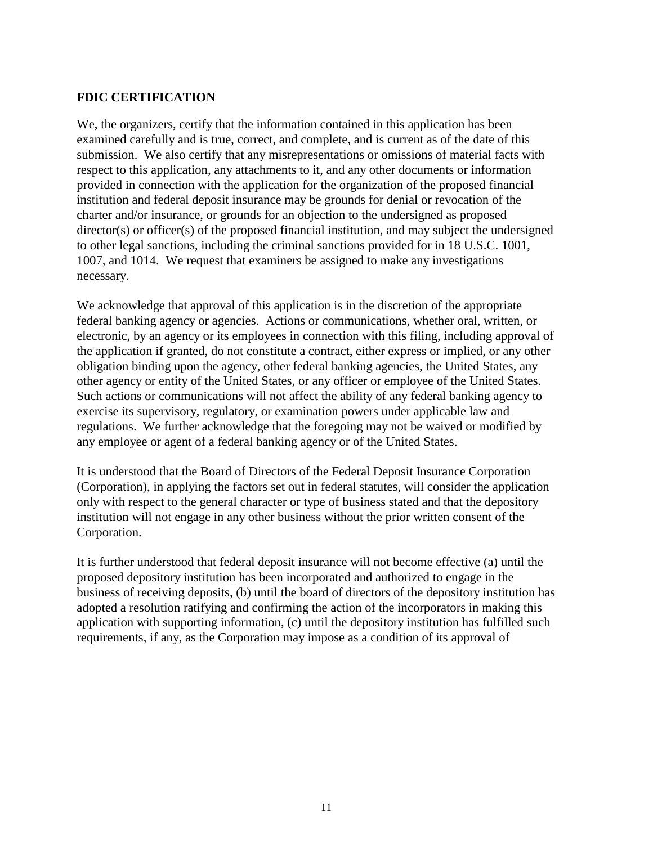#### **FDIC CERTIFICATION**

We, the organizers, certify that the information contained in this application has been examined carefully and is true, correct, and complete, and is current as of the date of this submission. We also certify that any misrepresentations or omissions of material facts with respect to this application, any attachments to it, and any other documents or information provided in connection with the application for the organization of the proposed financial institution and federal deposit insurance may be grounds for denial or revocation of the charter and/or insurance, or grounds for an objection to the undersigned as proposed director(s) or officer(s) of the proposed financial institution, and may subject the undersigned to other legal sanctions, including the criminal sanctions provided for in 18 U.S.C. 1001, 1007, and 1014. We request that examiners be assigned to make any investigations necessary.

We acknowledge that approval of this application is in the discretion of the appropriate federal banking agency or agencies. Actions or communications, whether oral, written, or electronic, by an agency or its employees in connection with this filing, including approval of the application if granted, do not constitute a contract, either express or implied, or any other obligation binding upon the agency, other federal banking agencies, the United States, any other agency or entity of the United States, or any officer or employee of the United States. Such actions or communications will not affect the ability of any federal banking agency to exercise its supervisory, regulatory, or examination powers under applicable law and regulations. We further acknowledge that the foregoing may not be waived or modified by any employee or agent of a federal banking agency or of the United States.

It is understood that the Board of Directors of the Federal Deposit Insurance Corporation (Corporation), in applying the factors set out in federal statutes, will consider the application only with respect to the general character or type of business stated and that the depository institution will not engage in any other business without the prior written consent of the Corporation.

It is further understood that federal deposit insurance will not become effective (a) until the proposed depository institution has been incorporated and authorized to engage in the business of receiving deposits, (b) until the board of directors of the depository institution has adopted a resolution ratifying and confirming the action of the incorporators in making this application with supporting information, (c) until the depository institution has fulfilled such requirements, if any, as the Corporation may impose as a condition of its approval of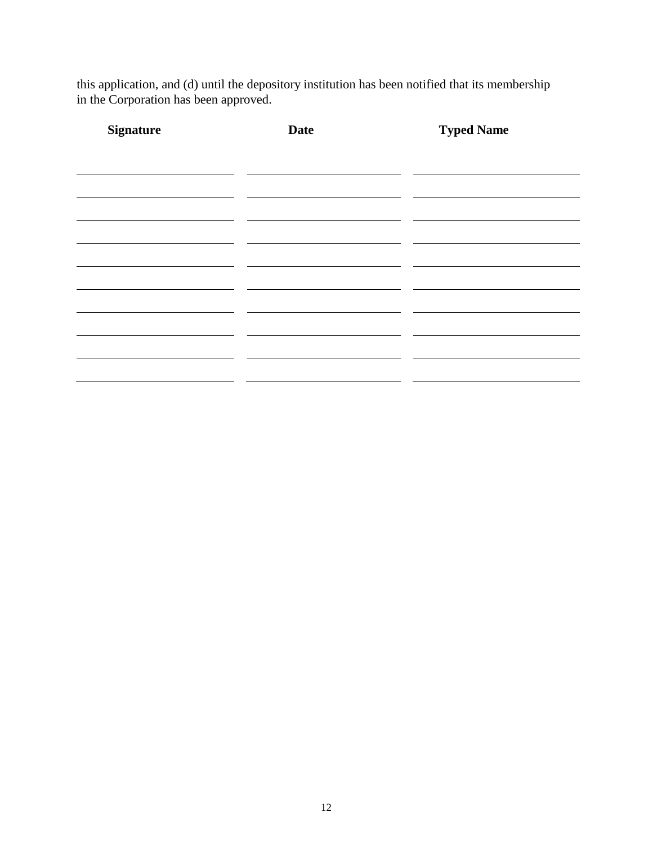this application, and (d) until the depository institution has been notified that its membership in the Corporation has been approved.

| <b>Signature</b> | <b>Date</b> | <b>Typed Name</b> |
|------------------|-------------|-------------------|
|                  |             |                   |
|                  |             |                   |
|                  |             |                   |
|                  |             |                   |
|                  |             |                   |
|                  |             |                   |
|                  |             |                   |
|                  |             |                   |
|                  |             |                   |
|                  |             |                   |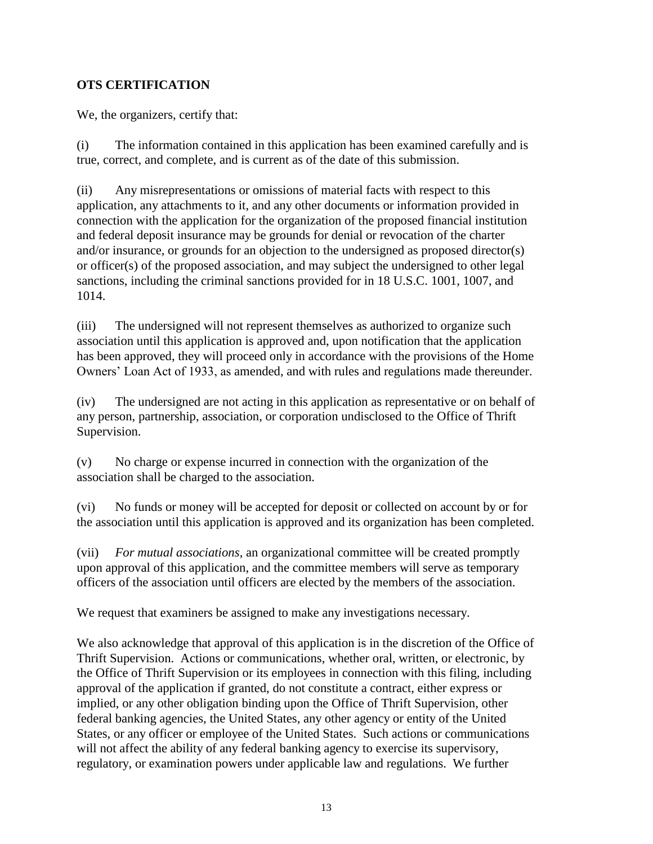### **OTS CERTIFICATION**

We, the organizers, certify that:

(i) The information contained in this application has been examined carefully and is true, correct, and complete, and is current as of the date of this submission.

(ii) Any misrepresentations or omissions of material facts with respect to this application, any attachments to it, and any other documents or information provided in connection with the application for the organization of the proposed financial institution and federal deposit insurance may be grounds for denial or revocation of the charter and/or insurance, or grounds for an objection to the undersigned as proposed director(s) or officer(s) of the proposed association, and may subject the undersigned to other legal sanctions, including the criminal sanctions provided for in 18 U.S.C. 1001, 1007, and 1014.

(iii) The undersigned will not represent themselves as authorized to organize such association until this application is approved and, upon notification that the application has been approved, they will proceed only in accordance with the provisions of the Home Owners' Loan Act of 1933, as amended, and with rules and regulations made thereunder.

(iv) The undersigned are not acting in this application as representative or on behalf of any person, partnership, association, or corporation undisclosed to the Office of Thrift Supervision.

(v) No charge or expense incurred in connection with the organization of the association shall be charged to the association.

(vi) No funds or money will be accepted for deposit or collected on account by or for the association until this application is approved and its organization has been completed.

(vii) *For mutual associations*, an organizational committee will be created promptly upon approval of this application, and the committee members will serve as temporary officers of the association until officers are elected by the members of the association.

We request that examiners be assigned to make any investigations necessary.

We also acknowledge that approval of this application is in the discretion of the Office of Thrift Supervision. Actions or communications, whether oral, written, or electronic, by the Office of Thrift Supervision or its employees in connection with this filing, including approval of the application if granted, do not constitute a contract, either express or implied, or any other obligation binding upon the Office of Thrift Supervision, other federal banking agencies, the United States, any other agency or entity of the United States, or any officer or employee of the United States. Such actions or communications will not affect the ability of any federal banking agency to exercise its supervisory, regulatory, or examination powers under applicable law and regulations. We further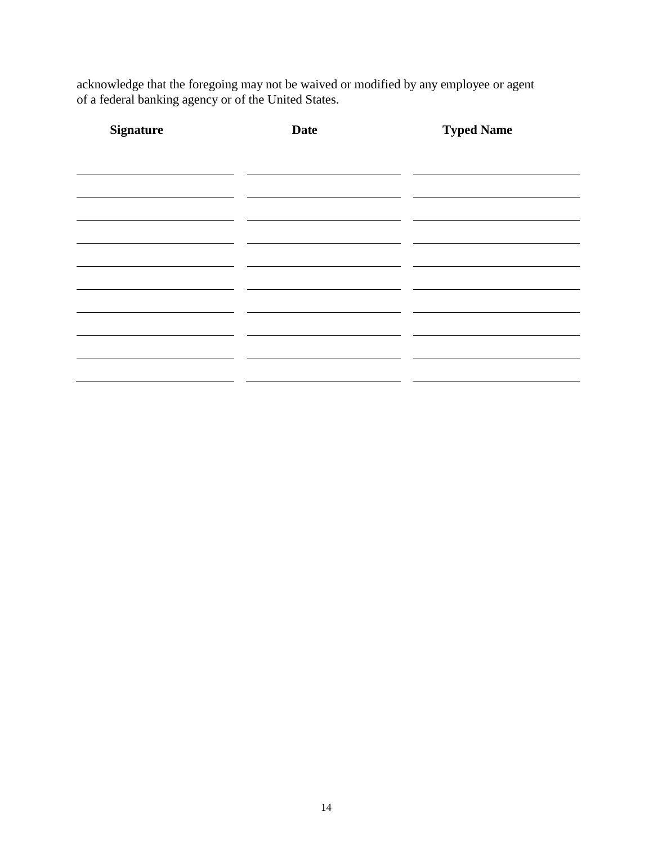acknowledge that the foregoing may not be waived or modified by any employee or agent of a federal banking agency or of the United States.

| <b>Signature</b> | <b>Date</b> | <b>Typed Name</b> |  |
|------------------|-------------|-------------------|--|
|                  |             |                   |  |
|                  |             |                   |  |
|                  |             |                   |  |
|                  |             |                   |  |
|                  |             |                   |  |
|                  |             |                   |  |
|                  |             |                   |  |
|                  |             |                   |  |
|                  |             |                   |  |
|                  |             |                   |  |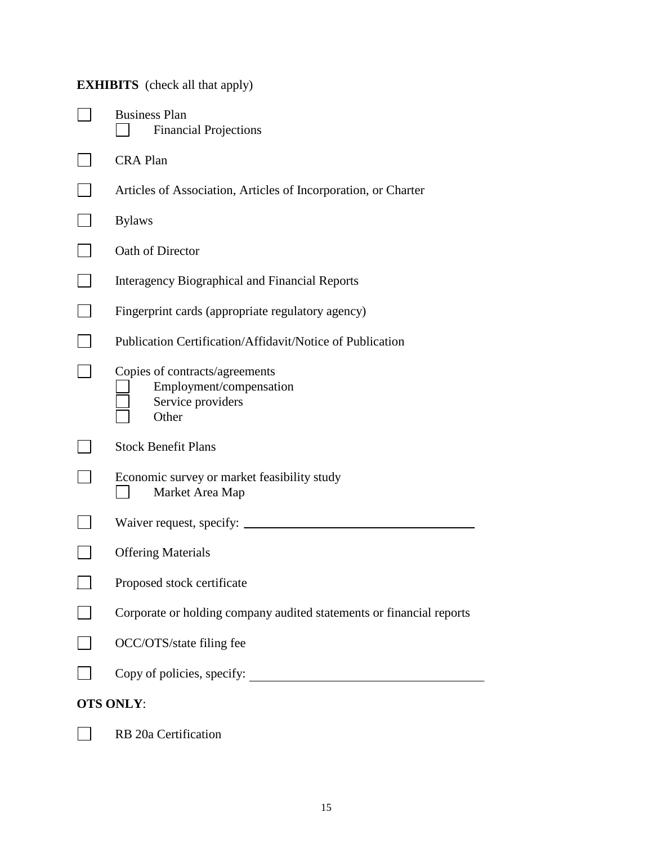# **EXHIBITS** (check all that apply)

| <b>Business Plan</b><br><b>Financial Projections</b>                                    |
|-----------------------------------------------------------------------------------------|
| <b>CRA Plan</b>                                                                         |
| Articles of Association, Articles of Incorporation, or Charter                          |
| <b>Bylaws</b>                                                                           |
| Oath of Director                                                                        |
| Interagency Biographical and Financial Reports                                          |
| Fingerprint cards (appropriate regulatory agency)                                       |
| Publication Certification/Affidavit/Notice of Publication                               |
| Copies of contracts/agreements<br>Employment/compensation<br>Service providers<br>Other |
| <b>Stock Benefit Plans</b>                                                              |
| Economic survey or market feasibility study<br>Market Area Map                          |
|                                                                                         |
| <b>Offering Materials</b>                                                               |
| Proposed stock certificate                                                              |
| Corporate or holding company audited statements or financial reports                    |
| OCC/OTS/state filing fee                                                                |
| Copy of policies, specify:                                                              |
| <b>OTS ONLY:</b>                                                                        |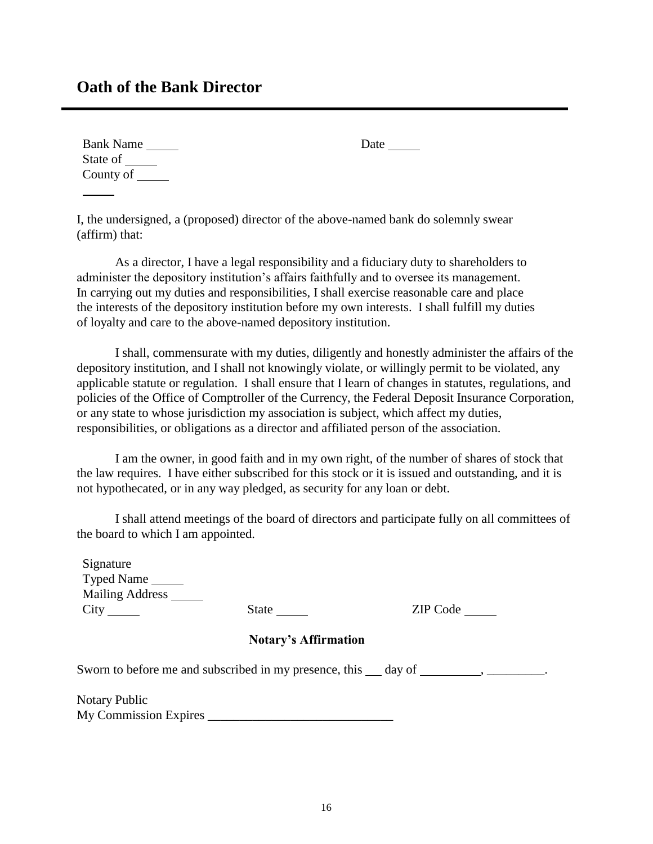## **Oath of the Bank Director**

| <b>Bank Name</b> | Date |
|------------------|------|
| State of         |      |
| County of        |      |

I, the undersigned, a (proposed) director of the above-named bank do solemnly swear (affirm) that:

As a director, I have a legal responsibility and a fiduciary duty to shareholders to administer the depository institution's affairs faithfully and to oversee its management. In carrying out my duties and responsibilities, I shall exercise reasonable care and place the interests of the depository institution before my own interests. I shall fulfill my duties of loyalty and care to the above-named depository institution.

I shall, commensurate with my duties, diligently and honestly administer the affairs of the depository institution, and I shall not knowingly violate, or willingly permit to be violated, any applicable statute or regulation. I shall ensure that I learn of changes in statutes, regulations, and policies of the Office of Comptroller of the Currency, the Federal Deposit Insurance Corporation, or any state to whose jurisdiction my association is subject, which affect my duties, responsibilities, or obligations as a director and affiliated person of the association.

I am the owner, in good faith and in my own right, of the number of shares of stock that the law requires. I have either subscribed for this stock or it is issued and outstanding, and it is not hypothecated, or in any way pledged, as security for any loan or debt.

I shall attend meetings of the board of directors and participate fully on all committees of the board to which I am appointed.

Signature Typed Name Mailing Address \_\_\_\_\_\_ City State <u>State</u> ZIP Code

#### **Notary's Affirmation**

Sworn to before me and subscribed in my presence, this day of , \_\_\_\_\_\_\_\_.

Notary Public My Commission Expires \_\_\_\_\_\_\_\_\_\_\_\_\_\_\_\_\_\_\_\_\_\_\_\_\_\_\_\_\_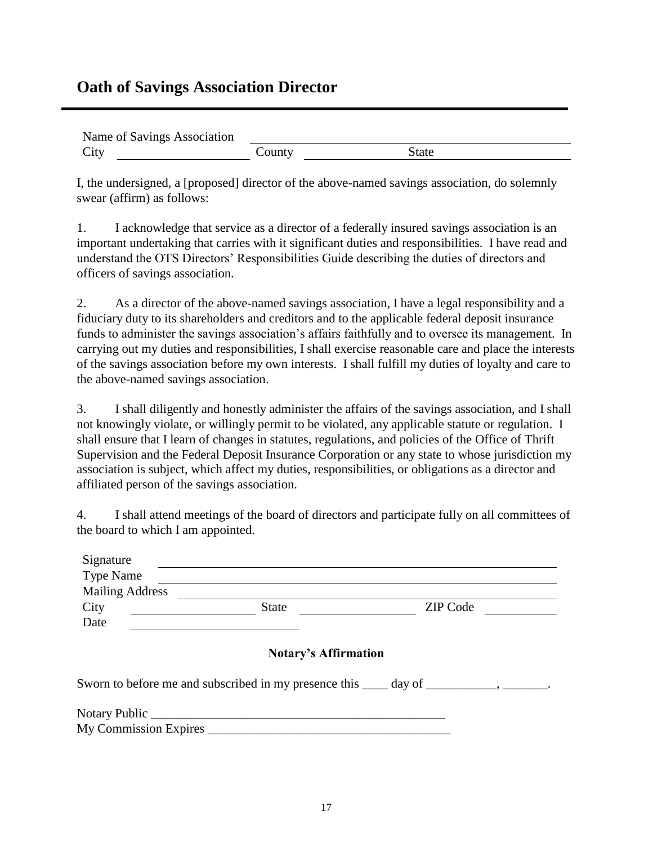# **Oath of Savings Association Director**

| Name of Savings Association |        |       |  |
|-----------------------------|--------|-------|--|
| City                        | County | State |  |

I, the undersigned, a [proposed] director of the above-named savings association, do solemnly swear (affirm) as follows:

1. I acknowledge that service as a director of a federally insured savings association is an important undertaking that carries with it significant duties and responsibilities. I have read and understand the OTS Directors' Responsibilities Guide describing the duties of directors and officers of savings association.

2. As a director of the above-named savings association, I have a legal responsibility and a fiduciary duty to its shareholders and creditors and to the applicable federal deposit insurance funds to administer the savings association's affairs faithfully and to oversee its management. In carrying out my duties and responsibilities, I shall exercise reasonable care and place the interests of the savings association before my own interests. I shall fulfill my duties of loyalty and care to the above-named savings association.

3. I shall diligently and honestly administer the affairs of the savings association, and I shall not knowingly violate, or willingly permit to be violated, any applicable statute or regulation. I shall ensure that I learn of changes in statutes, regulations, and policies of the Office of Thrift Supervision and the Federal Deposit Insurance Corporation or any state to whose jurisdiction my association is subject, which affect my duties, responsibilities, or obligations as a director and affiliated person of the savings association.

4. I shall attend meetings of the board of directors and participate fully on all committees of the board to which I am appointed.

| Signature              |                             |                                                                                          |
|------------------------|-----------------------------|------------------------------------------------------------------------------------------|
| <b>Type Name</b>       |                             |                                                                                          |
| <b>Mailing Address</b> |                             |                                                                                          |
| City                   | State                       | ZIP Code                                                                                 |
| Date                   |                             |                                                                                          |
|                        | <b>Notary's Affirmation</b> |                                                                                          |
|                        |                             | Sworn to before me and subscribed in my presence this _____ day of __________, ________. |
|                        | My Commission Expires       |                                                                                          |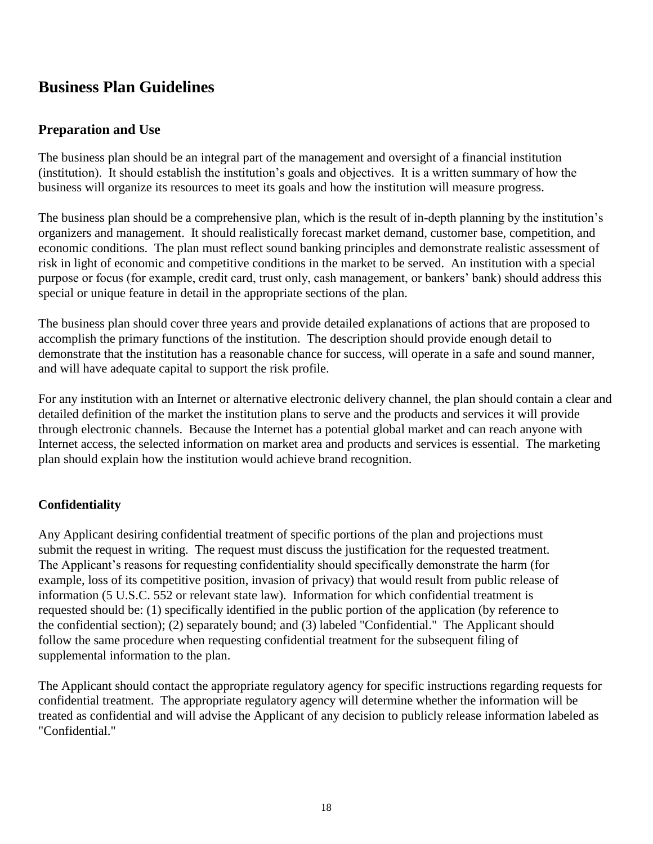# **Business Plan Guidelines**

## **Preparation and Use**

The business plan should be an integral part of the management and oversight of a financial institution (institution). It should establish the institution's goals and objectives. It is a written summary of how the business will organize its resources to meet its goals and how the institution will measure progress.

The business plan should be a comprehensive plan, which is the result of in-depth planning by the institution's organizers and management. It should realistically forecast market demand, customer base, competition, and economic conditions. The plan must reflect sound banking principles and demonstrate realistic assessment of risk in light of economic and competitive conditions in the market to be served. An institution with a special purpose or focus (for example, credit card, trust only, cash management, or bankers' bank) should address this special or unique feature in detail in the appropriate sections of the plan.

The business plan should cover three years and provide detailed explanations of actions that are proposed to accomplish the primary functions of the institution. The description should provide enough detail to demonstrate that the institution has a reasonable chance for success, will operate in a safe and sound manner, and will have adequate capital to support the risk profile.

For any institution with an Internet or alternative electronic delivery channel, the plan should contain a clear and detailed definition of the market the institution plans to serve and the products and services it will provide through electronic channels. Because the Internet has a potential global market and can reach anyone with Internet access, the selected information on market area and products and services is essential. The marketing plan should explain how the institution would achieve brand recognition.

### **Confidentiality**

Any Applicant desiring confidential treatment of specific portions of the plan and projections must submit the request in writing. The request must discuss the justification for the requested treatment. The Applicant's reasons for requesting confidentiality should specifically demonstrate the harm (for example, loss of its competitive position, invasion of privacy) that would result from public release of information (5 U.S.C. 552 or relevant state law). Information for which confidential treatment is requested should be: (1) specifically identified in the public portion of the application (by reference to the confidential section); (2) separately bound; and (3) labeled "Confidential." The Applicant should follow the same procedure when requesting confidential treatment for the subsequent filing of supplemental information to the plan.

The Applicant should contact the appropriate regulatory agency for specific instructions regarding requests for confidential treatment. The appropriate regulatory agency will determine whether the information will be treated as confidential and will advise the Applicant of any decision to publicly release information labeled as "Confidential."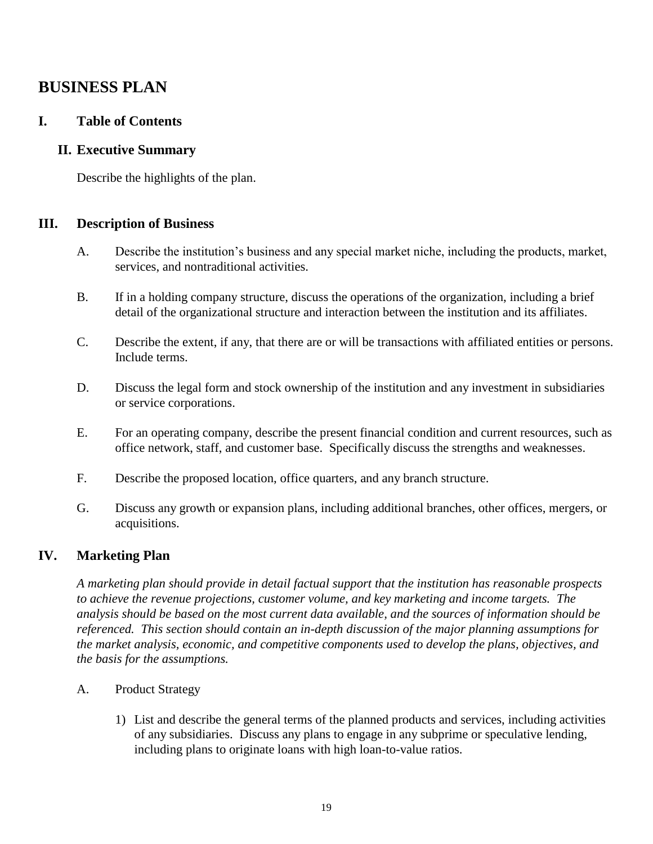# **BUSINESS PLAN**

### **I. Table of Contents**

#### **II. Executive Summary**

Describe the highlights of the plan.

#### **III. Description of Business**

- A. Describe the institution's business and any special market niche, including the products, market, services, and nontraditional activities.
- B. If in a holding company structure, discuss the operations of the organization, including a brief detail of the organizational structure and interaction between the institution and its affiliates.
- C. Describe the extent, if any, that there are or will be transactions with affiliated entities or persons. Include terms.
- D. Discuss the legal form and stock ownership of the institution and any investment in subsidiaries or service corporations.
- E. For an operating company, describe the present financial condition and current resources, such as office network, staff, and customer base. Specifically discuss the strengths and weaknesses.
- F. Describe the proposed location, office quarters, and any branch structure.
- G. Discuss any growth or expansion plans, including additional branches, other offices, mergers, or acquisitions.

### **IV. Marketing Plan**

*A marketing plan should provide in detail factual support that the institution has reasonable prospects to achieve the revenue projections, customer volume, and key marketing and income targets. The analysis should be based on the most current data available, and the sources of information should be referenced. This section should contain an in-depth discussion of the major planning assumptions for the market analysis, economic, and competitive components used to develop the plans, objectives, and the basis for the assumptions.*

- A. Product Strategy
	- 1) List and describe the general terms of the planned products and services, including activities of any subsidiaries. Discuss any plans to engage in any subprime or speculative lending, including plans to originate loans with high loan-to-value ratios.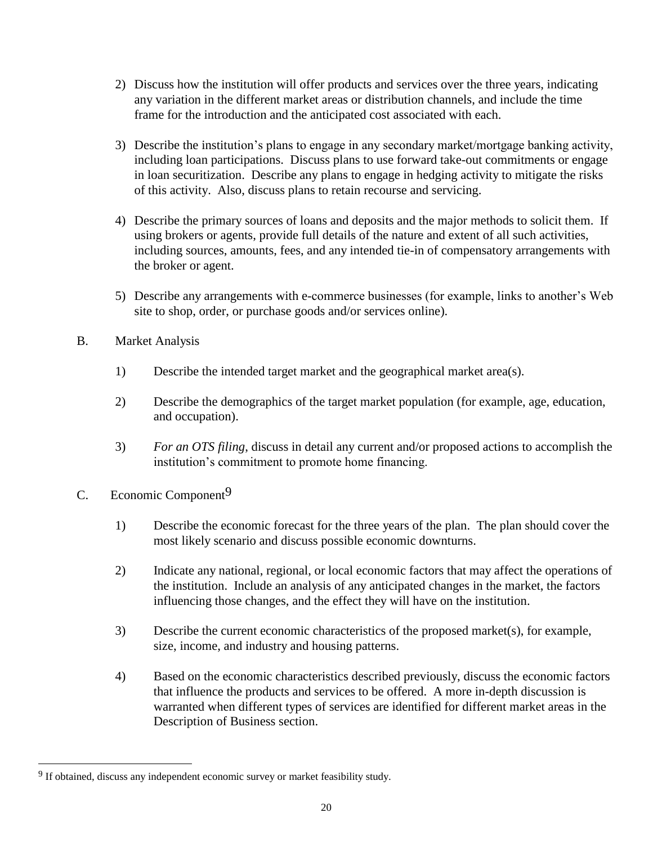- 2) Discuss how the institution will offer products and services over the three years, indicating any variation in the different market areas or distribution channels, and include the time frame for the introduction and the anticipated cost associated with each.
- 3) Describe the institution's plans to engage in any secondary market/mortgage banking activity, including loan participations. Discuss plans to use forward take-out commitments or engage in loan securitization. Describe any plans to engage in hedging activity to mitigate the risks of this activity. Also, discuss plans to retain recourse and servicing.
- 4) Describe the primary sources of loans and deposits and the major methods to solicit them. If using brokers or agents, provide full details of the nature and extent of all such activities, including sources, amounts, fees, and any intended tie-in of compensatory arrangements with the broker or agent.
- 5) Describe any arrangements with e-commerce businesses (for example, links to another's Web site to shop, order, or purchase goods and/or services online).
- B. Market Analysis
	- 1) Describe the intended target market and the geographical market area(s).
	- 2) Describe the demographics of the target market population (for example, age, education, and occupation).
	- 3) *For an OTS filing*, discuss in detail any current and/or proposed actions to accomplish the institution's commitment to promote home financing.
- C. Economic Component<sup>9</sup>

l

- 1) Describe the economic forecast for the three years of the plan. The plan should cover the most likely scenario and discuss possible economic downturns.
- 2) Indicate any national, regional, or local economic factors that may affect the operations of the institution. Include an analysis of any anticipated changes in the market, the factors influencing those changes, and the effect they will have on the institution.
- 3) Describe the current economic characteristics of the proposed market(s), for example, size, income, and industry and housing patterns.
- 4) Based on the economic characteristics described previously, discuss the economic factors that influence the products and services to be offered. A more in-depth discussion is warranted when different types of services are identified for different market areas in the Description of Business section.

<sup>&</sup>lt;sup>9</sup> If obtained, discuss any independent economic survey or market feasibility study.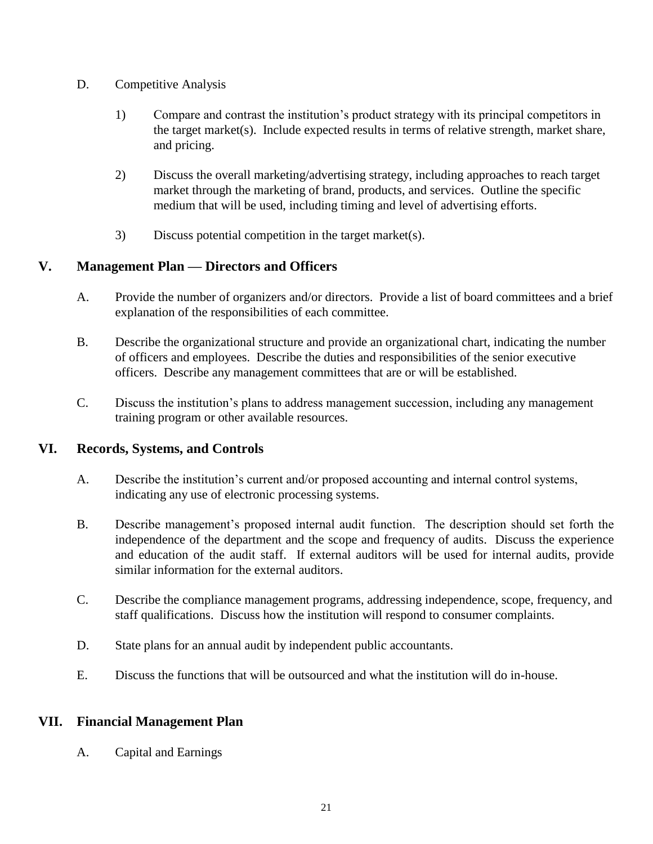- D. Competitive Analysis
	- 1) Compare and contrast the institution's product strategy with its principal competitors in the target market(s). Include expected results in terms of relative strength, market share, and pricing.
	- 2) Discuss the overall marketing/advertising strategy, including approaches to reach target market through the marketing of brand, products, and services. Outline the specific medium that will be used, including timing and level of advertising efforts.
	- 3) Discuss potential competition in the target market(s).

### **V. Management Plan — Directors and Officers**

- A. Provide the number of organizers and/or directors. Provide a list of board committees and a brief explanation of the responsibilities of each committee.
- B. Describe the organizational structure and provide an organizational chart, indicating the number of officers and employees. Describe the duties and responsibilities of the senior executive officers. Describe any management committees that are or will be established.
- C. Discuss the institution's plans to address management succession, including any management training program or other available resources.

### **VI. Records, Systems, and Controls**

- A. Describe the institution's current and/or proposed accounting and internal control systems, indicating any use of electronic processing systems.
- B. Describe management's proposed internal audit function. The description should set forth the independence of the department and the scope and frequency of audits. Discuss the experience and education of the audit staff. If external auditors will be used for internal audits, provide similar information for the external auditors.
- C. Describe the compliance management programs, addressing independence, scope, frequency, and staff qualifications. Discuss how the institution will respond to consumer complaints.
- D. State plans for an annual audit by independent public accountants.
- E. Discuss the functions that will be outsourced and what the institution will do in-house.

### **VII. Financial Management Plan**

A. Capital and Earnings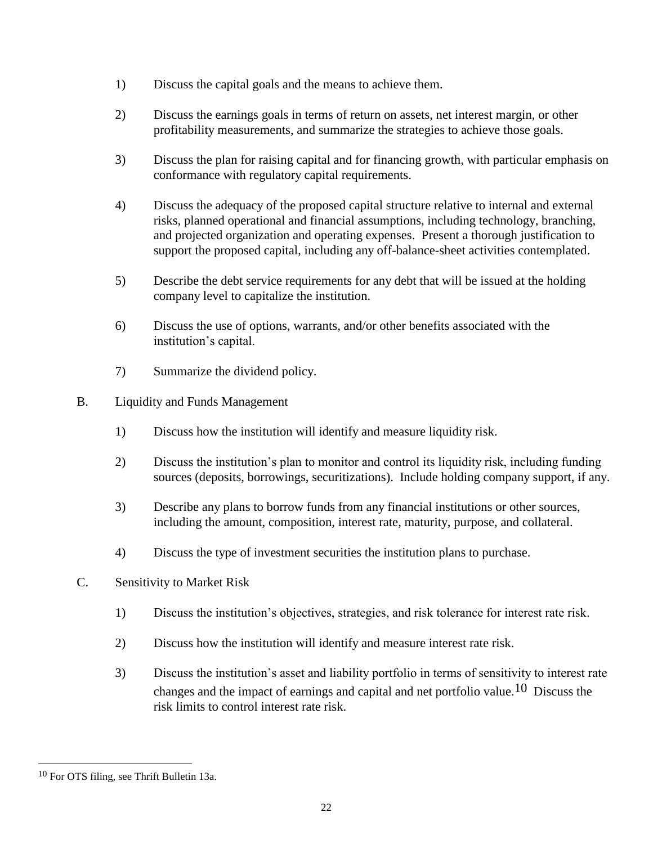- 1) Discuss the capital goals and the means to achieve them.
- 2) Discuss the earnings goals in terms of return on assets, net interest margin, or other profitability measurements, and summarize the strategies to achieve those goals.
- 3) Discuss the plan for raising capital and for financing growth, with particular emphasis on conformance with regulatory capital requirements.
- 4) Discuss the adequacy of the proposed capital structure relative to internal and external risks, planned operational and financial assumptions, including technology, branching, and projected organization and operating expenses. Present a thorough justification to support the proposed capital, including any off-balance-sheet activities contemplated.
- 5) Describe the debt service requirements for any debt that will be issued at the holding company level to capitalize the institution.
- 6) Discuss the use of options, warrants, and/or other benefits associated with the institution's capital.
- 7) Summarize the dividend policy.
- B. Liquidity and Funds Management
	- 1) Discuss how the institution will identify and measure liquidity risk.
	- 2) Discuss the institution's plan to monitor and control its liquidity risk, including funding sources (deposits, borrowings, securitizations). Include holding company support, if any.
	- 3) Describe any plans to borrow funds from any financial institutions or other sources, including the amount, composition, interest rate, maturity, purpose, and collateral.
	- 4) Discuss the type of investment securities the institution plans to purchase.
- C. Sensitivity to Market Risk
	- 1) Discuss the institution's objectives, strategies, and risk tolerance for interest rate risk.
	- 2) Discuss how the institution will identify and measure interest rate risk.
	- 3) Discuss the institution's asset and liability portfolio in terms of sensitivity to interest rate changes and the impact of earnings and capital and net portfolio value.10 Discuss the risk limits to control interest rate risk.

l

<sup>10</sup> For OTS filing, see Thrift Bulletin 13a.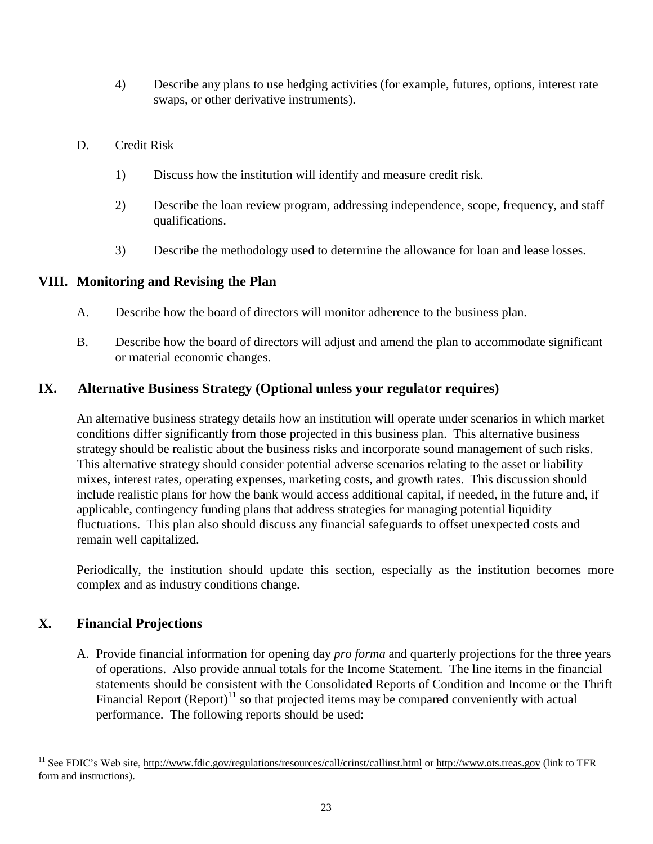- 4) Describe any plans to use hedging activities (for example, futures, options, interest rate swaps, or other derivative instruments).
- D. Credit Risk
	- 1) Discuss how the institution will identify and measure credit risk.
	- 2) Describe the loan review program, addressing independence, scope, frequency, and staff qualifications.
	- 3) Describe the methodology used to determine the allowance for loan and lease losses.

### **VIII. Monitoring and Revising the Plan**

- A. Describe how the board of directors will monitor adherence to the business plan.
- B. Describe how the board of directors will adjust and amend the plan to accommodate significant or material economic changes.

## **IX. Alternative Business Strategy (Optional unless your regulator requires)**

An alternative business strategy details how an institution will operate under scenarios in which market conditions differ significantly from those projected in this business plan. This alternative business strategy should be realistic about the business risks and incorporate sound management of such risks. This alternative strategy should consider potential adverse scenarios relating to the asset or liability mixes, interest rates, operating expenses, marketing costs, and growth rates. This discussion should include realistic plans for how the bank would access additional capital, if needed, in the future and, if applicable, contingency funding plans that address strategies for managing potential liquidity fluctuations. This plan also should discuss any financial safeguards to offset unexpected costs and remain well capitalized.

Periodically, the institution should update this section, especially as the institution becomes more complex and as industry conditions change.

## **X. Financial Projections**

A. Provide financial information for opening day *pro forma* and quarterly projections for the three years of operations. Also provide annual totals for the Income Statement. The line items in the financial statements should be consistent with the Consolidated Reports of Condition and Income or the Thrift Financial Report  $(Report)^{11}$  so that projected items may be compared conveniently with actual performance. The following reports should be used:

<sup>11</sup> See FDIC's Web site,<http://www.fdic.gov/regulations/resources/call/crinst/callinst.html> or [http://www.ots.treas.gov](http://www.ots.treas.gov/) (link to TFR form and instructions).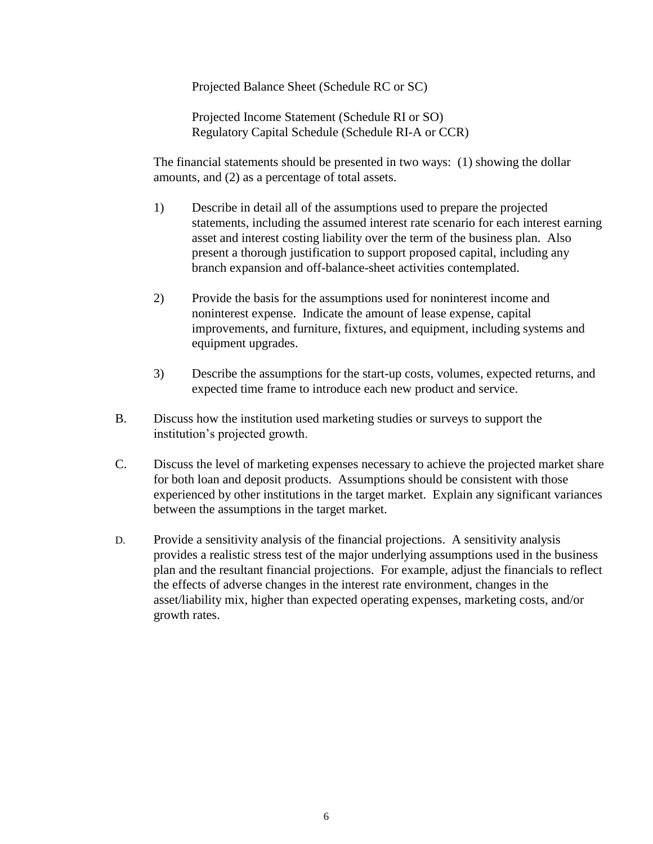Projected Balance Sheet (Schedule RC or SC)

Projected Income Statement (Schedule RI or SO) Regulatory Capital Schedule (Schedule RI-A or CCR)

The financial statements should be presented in two ways: (1) showing the dollar amounts, and (2) as a percentage of total assets.

- 1) Describe in detail all of the assumptions used to prepare the projected statements, including the assumed interest rate scenario for each interest earning asset and interest costing liability over the term of the business plan. Also present a thorough justification to support proposed capital, including any branch expansion and off-balance-sheet activities contemplated.
- 2) Provide the basis for the assumptions used for noninterest income and noninterest expense. Indicate the amount of lease expense, capital improvements, and furniture, fixtures, and equipment, including systems and equipment upgrades.
- 3) Describe the assumptions for the start-up costs, volumes, expected returns, and expected time frame to introduce each new product and service.
- B. Discuss how the institution used marketing studies or surveys to support the institution's projected growth.
- C. Discuss the level of marketing expenses necessary to achieve the projected market share for both loan and deposit products. Assumptions should be consistent with those experienced by other institutions in the target market. Explain any significant variances between the assumptions in the target market.
- D. Provide a sensitivity analysis of the financial projections. A sensitivity analysis provides a realistic stress test of the major underlying assumptions used in the business plan and the resultant financial projections. For example, adjust the financials to reflect the effects of adverse changes in the interest rate environment, changes in the asset/liability mix, higher than expected operating expenses, marketing costs, and/or growth rates.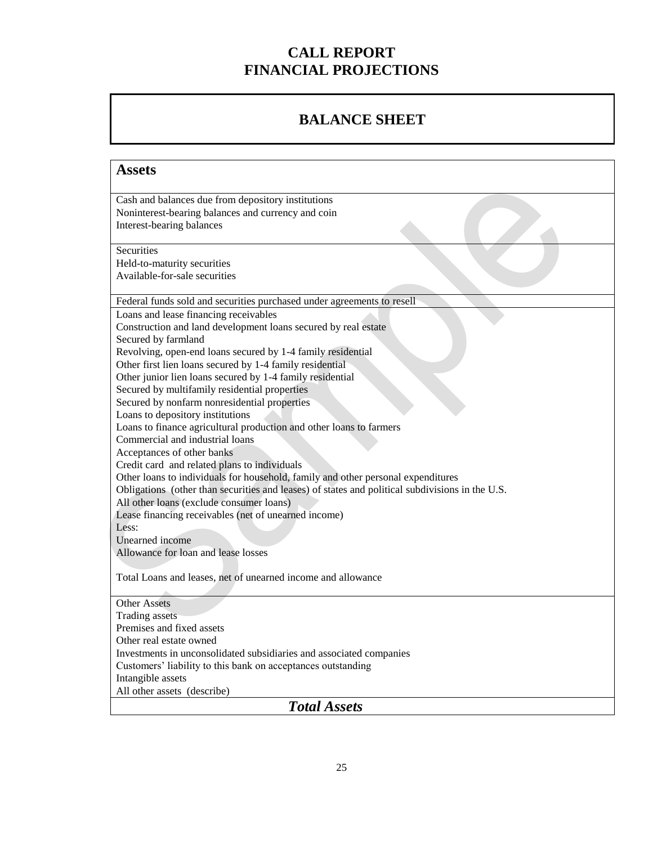# **CALL REPORT FINANCIAL PROJECTIONS**

# **BALANCE SHEET**

| <b>Assets</b>                                                                                                                               |
|---------------------------------------------------------------------------------------------------------------------------------------------|
|                                                                                                                                             |
| Cash and balances due from depository institutions                                                                                          |
| Noninterest-bearing balances and currency and coin                                                                                          |
| Interest-bearing balances                                                                                                                   |
| Securities                                                                                                                                  |
| Held-to-maturity securities                                                                                                                 |
| Available-for-sale securities                                                                                                               |
|                                                                                                                                             |
| Federal funds sold and securities purchased under agreements to resell                                                                      |
| Loans and lease financing receivables                                                                                                       |
| Construction and land development loans secured by real estate                                                                              |
| Secured by farmland                                                                                                                         |
| Revolving, open-end loans secured by 1-4 family residential                                                                                 |
| Other first lien loans secured by 1-4 family residential                                                                                    |
| Other junior lien loans secured by 1-4 family residential                                                                                   |
| Secured by multifamily residential properties                                                                                               |
| Secured by nonfarm nonresidential properties                                                                                                |
| Loans to depository institutions                                                                                                            |
| Loans to finance agricultural production and other loans to farmers                                                                         |
| Commercial and industrial loans                                                                                                             |
| Acceptances of other banks                                                                                                                  |
| Credit card and related plans to individuals                                                                                                |
| Other loans to individuals for household, family and other personal expenditures                                                            |
| Obligations (other than securities and leases) of states and political subdivisions in the U.S.<br>All other loans (exclude consumer loans) |
| Lease financing receivables (net of unearned income)                                                                                        |
| Less:                                                                                                                                       |
| Unearned income                                                                                                                             |
| Allowance for loan and lease losses                                                                                                         |
|                                                                                                                                             |
| Total Loans and leases, net of unearned income and allowance                                                                                |
|                                                                                                                                             |
| <b>Other Assets</b>                                                                                                                         |
| <b>Trading assets</b>                                                                                                                       |
| Premises and fixed assets                                                                                                                   |
| Other real estate owned                                                                                                                     |
| Investments in unconsolidated subsidiaries and associated companies                                                                         |
| Customers' liability to this bank on acceptances outstanding                                                                                |
| Intangible assets                                                                                                                           |
| All other assets (describe)                                                                                                                 |
| <b>Total Assets</b>                                                                                                                         |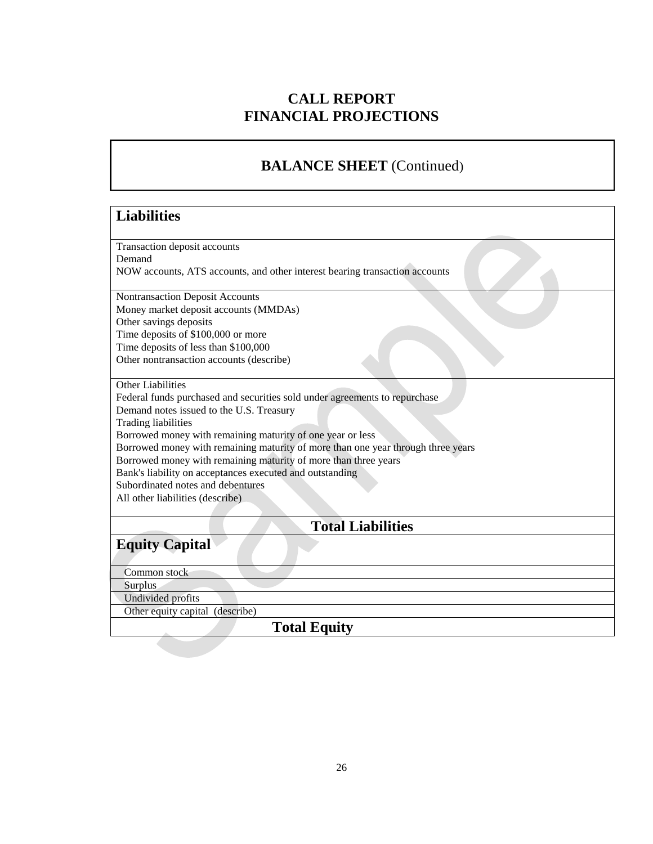# **CALL REPORT FINANCIAL PROJECTIONS**

# **BALANCE SHEET** (Continued)

#### **Liabilities**

Transaction deposit accounts Demand NOW accounts, ATS accounts, and other interest bearing transaction accounts

Nontransaction Deposit Accounts Money market deposit accounts (MMDAs) Other savings deposits Time deposits of \$100,000 or more Time deposits of less than \$100,000 Other nontransaction accounts (describe)

Other Liabilities

Federal funds purchased and securities sold under agreements to repurchase Demand notes issued to the U.S. Treasury Trading liabilities Borrowed money with remaining maturity of one year or less Borrowed money with remaining maturity of more than one year through three years Borrowed money with remaining maturity of more than three years Bank's liability on acceptances executed and outstanding Subordinated notes and debentures All other liabilities (describe)

**Total Liabilities** 

**Equity Capital**

Common stock

Surplus

 Undivided profits Other equity capital (describe)

## **Total Equity**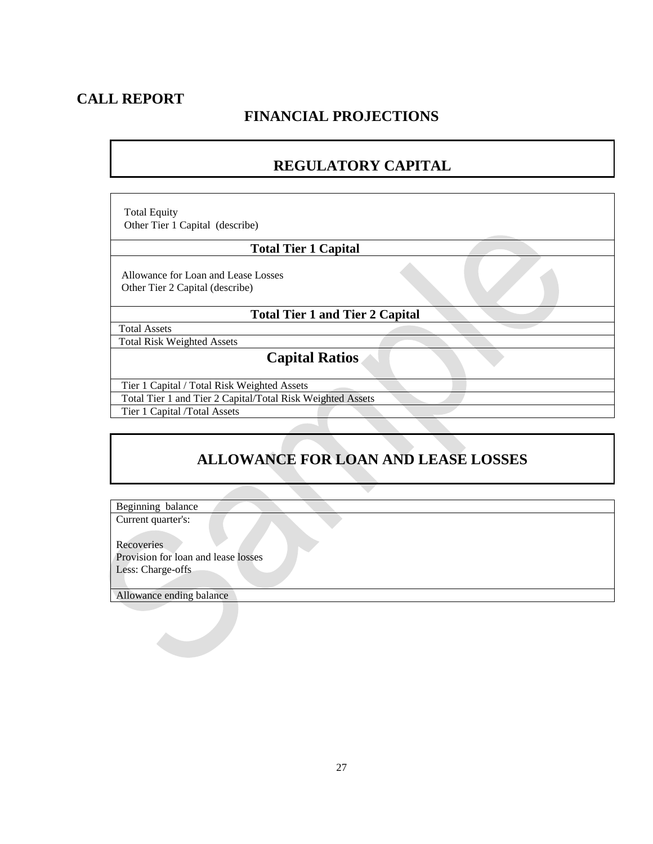## **CALL REPORT**

# **FINANCIAL PROJECTIONS**

# **REGULATORY CAPITAL**

 Total Equity Other Tier 1 Capital (describe)

#### **Total Tier 1 Capital**

 Allowance for Loan and Lease Losses Other Tier 2 Capital (describe)

#### **Total Tier 1 and Tier 2 Capital**

Total Assets

Total Risk Weighted Assets

### **Capital Ratios**

 Tier 1 Capital / Total Risk Weighted Assets Total Tier 1 and Tier 2 Capital/Total Risk Weighted Assets

Tier 1 Capital /Total Assets

# **ALLOWANCE FOR LOAN AND LEASE LOSSES**

Beginning balance Current quarter's:

Recoveries

Provision for loan and lease losses Less: Charge-offs

Allowance ending balance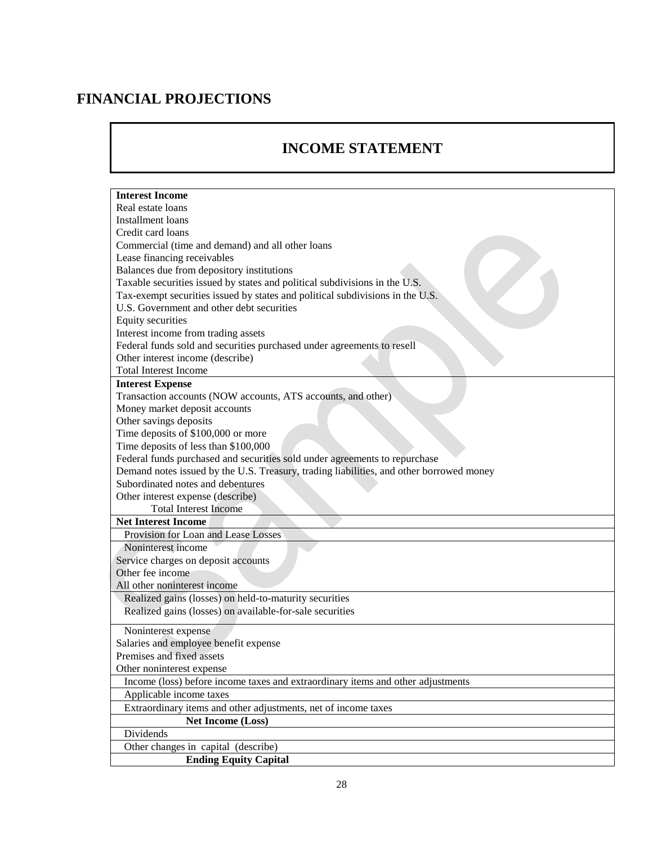# **FINANCIAL PROJECTIONS**

# **INCOME STATEMENT**

| <b>Interest Income</b>                                                                  |
|-----------------------------------------------------------------------------------------|
| Real estate loans                                                                       |
| <b>Installment</b> loans                                                                |
| Credit card loans                                                                       |
| Commercial (time and demand) and all other loans                                        |
| Lease financing receivables                                                             |
| Balances due from depository institutions                                               |
| Taxable securities issued by states and political subdivisions in the U.S.              |
| Tax-exempt securities issued by states and political subdivisions in the U.S.           |
| U.S. Government and other debt securities                                               |
| <b>Equity securities</b>                                                                |
| Interest income from trading assets                                                     |
| Federal funds sold and securities purchased under agreements to resell                  |
| Other interest income (describe)                                                        |
| <b>Total Interest Income</b>                                                            |
| <b>Interest Expense</b>                                                                 |
| Transaction accounts (NOW accounts, ATS accounts, and other)                            |
| Money market deposit accounts                                                           |
| Other savings deposits                                                                  |
| Time deposits of \$100,000 or more                                                      |
| Time deposits of less than \$100,000                                                    |
| Federal funds purchased and securities sold under agreements to repurchase              |
| Demand notes issued by the U.S. Treasury, trading liabilities, and other borrowed money |
| Subordinated notes and debentures                                                       |
| Other interest expense (describe)                                                       |
| <b>Total Interest Income</b>                                                            |
| <b>Net Interest Income</b>                                                              |
| Provision for Loan and Lease Losses                                                     |
| Noninterest income                                                                      |
| Service charges on deposit accounts<br>Other fee income                                 |
|                                                                                         |
| All other noninterest income<br>Realized gains (losses) on held-to-maturity securities  |
| Realized gains (losses) on available-for-sale securities                                |
|                                                                                         |
| Noninterest expense                                                                     |
| Salaries and employee benefit expense                                                   |
| Premises and fixed assets                                                               |
| Other noninterest expense                                                               |
| Income (loss) before income taxes and extraordinary items and other adjustments         |
| Applicable income taxes                                                                 |
| Extraordinary items and other adjustments, net of income taxes                          |
| <b>Net Income (Loss)</b>                                                                |
| Dividends                                                                               |
| Other changes in capital (describe)                                                     |
| <b>Ending Equity Capital</b>                                                            |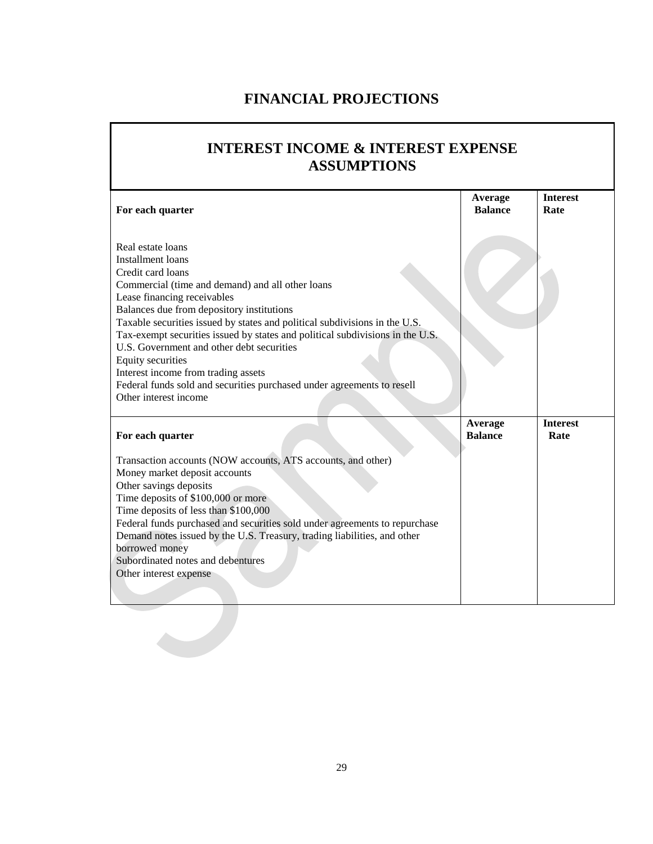# **FINANCIAL PROJECTIONS**

# **INTEREST INCOME & INTEREST EXPENSE ASSUMPTIONS**

| For each quarter                                                                                                                                                                                                                                                                                                                                                                                                                                                                                                                                                                     | Average<br><b>Balance</b> | <b>Interest</b><br>Rate |
|--------------------------------------------------------------------------------------------------------------------------------------------------------------------------------------------------------------------------------------------------------------------------------------------------------------------------------------------------------------------------------------------------------------------------------------------------------------------------------------------------------------------------------------------------------------------------------------|---------------------------|-------------------------|
| Real estate loans<br><b>Installment</b> loans<br>Credit card loans<br>Commercial (time and demand) and all other loans<br>Lease financing receivables<br>Balances due from depository institutions<br>Taxable securities issued by states and political subdivisions in the U.S.<br>Tax-exempt securities issued by states and political subdivisions in the U.S.<br>U.S. Government and other debt securities<br><b>Equity securities</b><br>Interest income from trading assets<br>Federal funds sold and securities purchased under agreements to resell<br>Other interest income |                           |                         |
| For each quarter                                                                                                                                                                                                                                                                                                                                                                                                                                                                                                                                                                     | Average<br><b>Balance</b> | <b>Interest</b><br>Rate |
| Transaction accounts (NOW accounts, ATS accounts, and other)<br>Money market deposit accounts<br>Other savings deposits<br>Time deposits of \$100,000 or more<br>Time deposits of less than \$100,000<br>Federal funds purchased and securities sold under agreements to repurchase<br>Demand notes issued by the U.S. Treasury, trading liabilities, and other<br>borrowed money<br>Subordinated notes and debentures<br>Other interest expense                                                                                                                                     |                           |                         |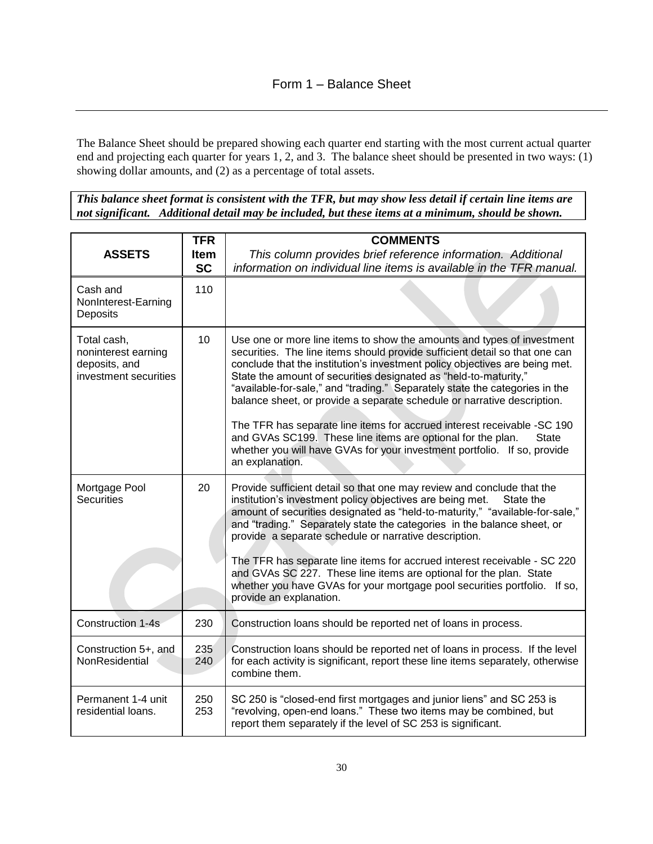The Balance Sheet should be prepared showing each quarter end starting with the most current actual quarter end and projecting each quarter for years 1, 2, and 3. The balance sheet should be presented in two ways: (1) showing dollar amounts, and (2) as a percentage of total assets.

*This balance sheet format is consistent with the TFR, but may show less detail if certain line items are not significant. Additional detail may be included, but these items at a minimum, should be shown.* 

| <b>ASSETS</b>                                                                | <b>TFR</b><br><b>Item</b><br><b>SC</b> | <b>COMMENTS</b><br>This column provides brief reference information. Additional<br>information on individual line items is available in the TFR manual.                                                                                                                                                                                                                                                                                                                                                                                                                                                                                                                                                                     |
|------------------------------------------------------------------------------|----------------------------------------|-----------------------------------------------------------------------------------------------------------------------------------------------------------------------------------------------------------------------------------------------------------------------------------------------------------------------------------------------------------------------------------------------------------------------------------------------------------------------------------------------------------------------------------------------------------------------------------------------------------------------------------------------------------------------------------------------------------------------------|
| Cash and<br>NonInterest-Earning<br>Deposits                                  | 110                                    |                                                                                                                                                                                                                                                                                                                                                                                                                                                                                                                                                                                                                                                                                                                             |
| Total cash,<br>noninterest earning<br>deposits, and<br>investment securities | 10                                     | Use one or more line items to show the amounts and types of investment<br>securities. The line items should provide sufficient detail so that one can<br>conclude that the institution's investment policy objectives are being met.<br>State the amount of securities designated as "held-to-maturity,"<br>"available-for-sale," and "trading." Separately state the categories in the<br>balance sheet, or provide a separate schedule or narrative description.<br>The TFR has separate line items for accrued interest receivable -SC 190<br>and GVAs SC199. These line items are optional for the plan.<br><b>State</b><br>whether you will have GVAs for your investment portfolio. If so, provide<br>an explanation. |
| Mortgage Pool<br><b>Securities</b>                                           | 20                                     | Provide sufficient detail so that one may review and conclude that the<br>institution's investment policy objectives are being met.<br>State the<br>amount of securities designated as "held-to-maturity," "available-for-sale,"<br>and "trading." Separately state the categories in the balance sheet, or<br>provide a separate schedule or narrative description.<br>The TFR has separate line items for accrued interest receivable - SC 220<br>and GVAs SC 227. These line items are optional for the plan. State<br>whether you have GVAs for your mortgage pool securities portfolio. If so,<br>provide an explanation.                                                                                              |
| Construction 1-4s                                                            | 230                                    | Construction loans should be reported net of loans in process.                                                                                                                                                                                                                                                                                                                                                                                                                                                                                                                                                                                                                                                              |
| Construction 5+, and<br>NonResidential                                       | 235<br>240                             | Construction loans should be reported net of loans in process. If the level<br>for each activity is significant, report these line items separately, otherwise<br>combine them.                                                                                                                                                                                                                                                                                                                                                                                                                                                                                                                                             |
| Permanent 1-4 unit<br>residential loans.                                     | 250<br>253                             | SC 250 is "closed-end first mortgages and junior liens" and SC 253 is<br>"revolving, open-end loans." These two items may be combined, but<br>report them separately if the level of SC 253 is significant.                                                                                                                                                                                                                                                                                                                                                                                                                                                                                                                 |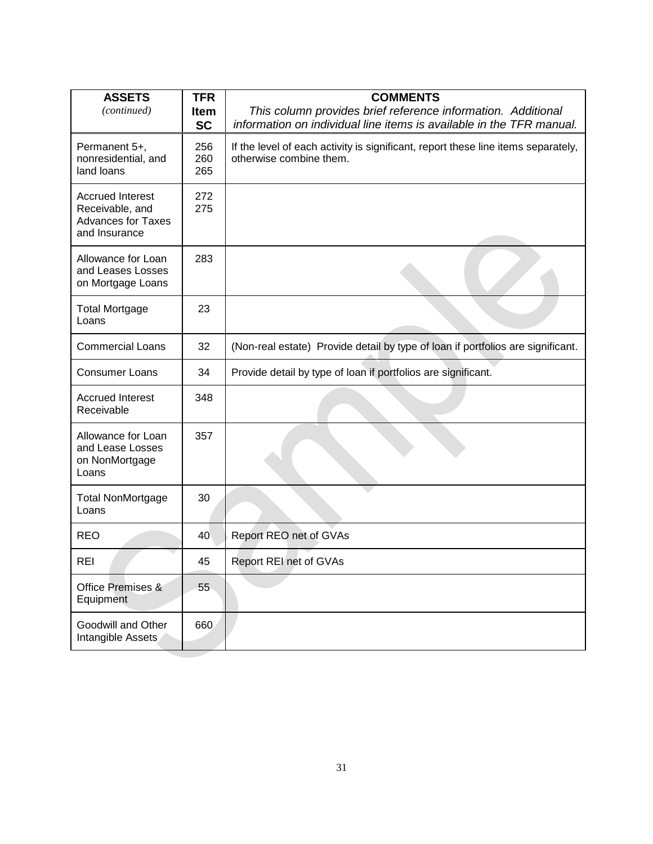| <b>ASSETS</b><br>(continued)                                                             | <b>TFR</b><br><b>Item</b><br><b>SC</b> | <b>COMMENTS</b><br>This column provides brief reference information. Additional<br>information on individual line items is available in the TFR manual. |
|------------------------------------------------------------------------------------------|----------------------------------------|---------------------------------------------------------------------------------------------------------------------------------------------------------|
| Permanent 5+,<br>nonresidential, and<br>land loans                                       | 256<br>260<br>265                      | If the level of each activity is significant, report these line items separately,<br>otherwise combine them.                                            |
| <b>Accrued Interest</b><br>Receivable, and<br><b>Advances for Taxes</b><br>and Insurance | 272<br>275                             |                                                                                                                                                         |
| Allowance for Loan<br>and Leases Losses<br>on Mortgage Loans                             | 283                                    |                                                                                                                                                         |
| <b>Total Mortgage</b><br>Loans                                                           | 23                                     |                                                                                                                                                         |
| <b>Commercial Loans</b>                                                                  | 32                                     | (Non-real estate) Provide detail by type of loan if portfolios are significant.                                                                         |
| <b>Consumer Loans</b>                                                                    | 34                                     | Provide detail by type of loan if portfolios are significant.                                                                                           |
| <b>Accrued Interest</b><br>Receivable                                                    | 348                                    |                                                                                                                                                         |
| Allowance for Loan<br>and Lease Losses<br>on NonMortgage<br>Loans                        | 357                                    |                                                                                                                                                         |
| <b>Total NonMortgage</b><br>Loans                                                        | 30                                     |                                                                                                                                                         |
| <b>REO</b>                                                                               | 40                                     | Report REO net of GVAs                                                                                                                                  |
| REI                                                                                      | 45                                     | Report REI net of GVAs                                                                                                                                  |
| Office Premises &<br>Equipment                                                           | 55                                     |                                                                                                                                                         |
| Goodwill and Other<br>Intangible Assets                                                  | 660                                    |                                                                                                                                                         |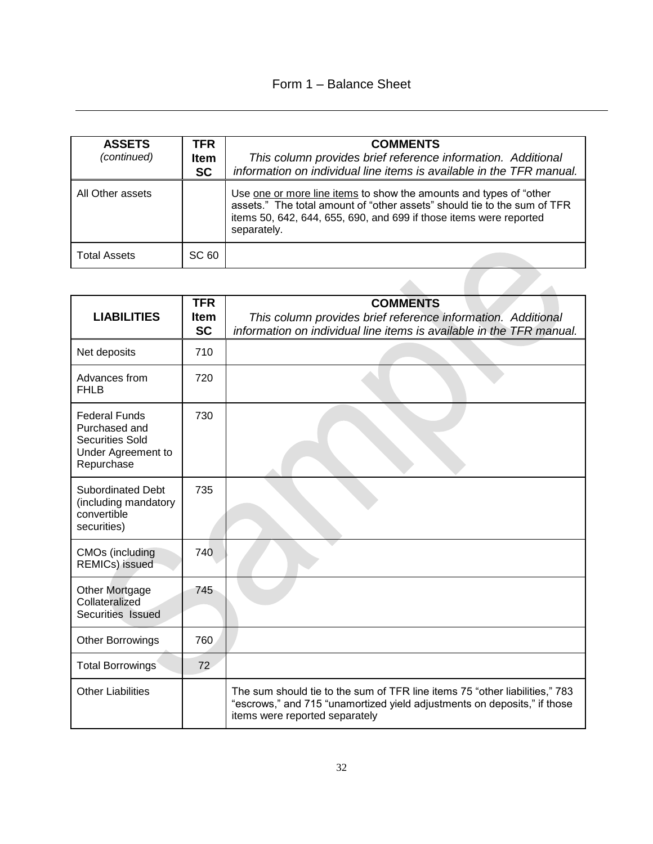| <b>ASSETS</b><br>(continued) | <b>TFR</b><br><b>Item</b><br><b>SC</b> | <b>COMMENTS</b><br>This column provides brief reference information. Additional<br>information on individual line items is available in the TFR manual.                                                                             |
|------------------------------|----------------------------------------|-------------------------------------------------------------------------------------------------------------------------------------------------------------------------------------------------------------------------------------|
| All Other assets             |                                        | Use one or more line items to show the amounts and types of "other<br>assets." The total amount of "other assets" should tie to the sum of TFR<br>items 50, 642, 644, 655, 690, and 699 if those items were reported<br>separately. |
| <b>Total Assets</b>          | SC 60                                  |                                                                                                                                                                                                                                     |

| <b>LIABILITIES</b>                                                                                  | <b>TFR</b><br><b>Item</b><br><b>SC</b> | <b>COMMENTS</b><br>This column provides brief reference information. Additional<br>information on individual line items is available in the TFR manual.                                   |
|-----------------------------------------------------------------------------------------------------|----------------------------------------|-------------------------------------------------------------------------------------------------------------------------------------------------------------------------------------------|
| Net deposits                                                                                        | 710                                    |                                                                                                                                                                                           |
| Advances from<br><b>FHLB</b>                                                                        | 720                                    |                                                                                                                                                                                           |
| <b>Federal Funds</b><br>Purchased and<br><b>Securities Sold</b><br>Under Agreement to<br>Repurchase | 730                                    |                                                                                                                                                                                           |
| <b>Subordinated Debt</b><br>(including mandatory<br>convertible<br>securities)                      | 735                                    |                                                                                                                                                                                           |
| <b>CMOs</b> (including<br><b>REMICs)</b> issued                                                     | 740                                    |                                                                                                                                                                                           |
| Other Mortgage<br>Collateralized<br>Securities Issued                                               | 745                                    |                                                                                                                                                                                           |
| Other Borrowings                                                                                    | 760                                    |                                                                                                                                                                                           |
| <b>Total Borrowings</b>                                                                             | 72                                     |                                                                                                                                                                                           |
| <b>Other Liabilities</b>                                                                            |                                        | The sum should tie to the sum of TFR line items 75 "other liabilities," 783<br>"escrows," and 715 "unamortized yield adjustments on deposits," if those<br>items were reported separately |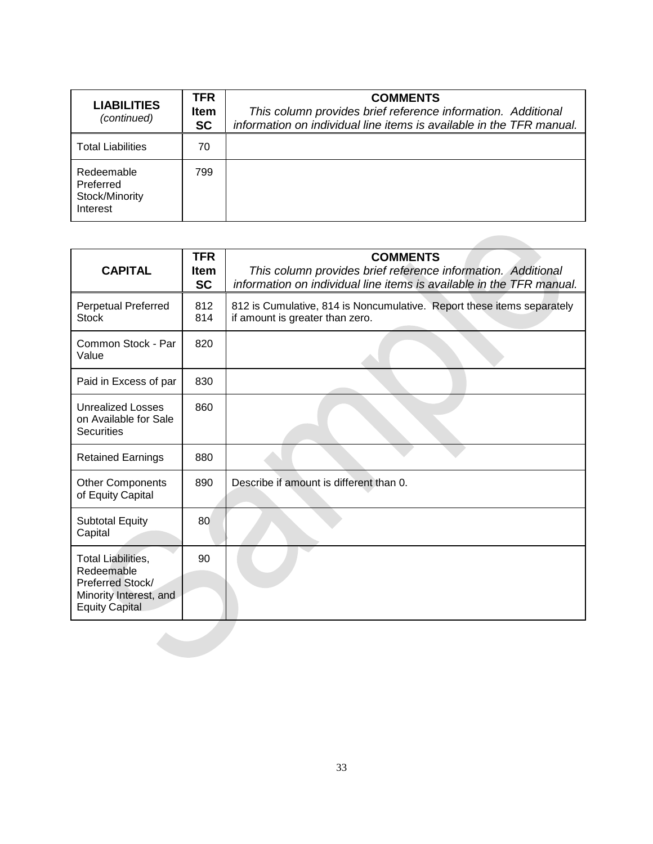| <b>LIABILITIES</b><br>(continued)                     | TFR<br><b>Item</b><br><b>SC</b> | <b>COMMENTS</b><br>This column provides brief reference information. Additional<br>information on individual line items is available in the TFR manual. |
|-------------------------------------------------------|---------------------------------|---------------------------------------------------------------------------------------------------------------------------------------------------------|
| <b>Total Liabilities</b>                              | 70                              |                                                                                                                                                         |
| Redeemable<br>Preferred<br>Stock/Minority<br>Interest | 799                             |                                                                                                                                                         |

**Contract Contract** 

| <b>CAPITAL</b>                                                                                          | <b>TFR</b><br><b>Item</b><br><b>SC</b> | <b>COMMENTS</b><br>This column provides brief reference information. Additional<br>information on individual line items is available in the TFR manual. |
|---------------------------------------------------------------------------------------------------------|----------------------------------------|---------------------------------------------------------------------------------------------------------------------------------------------------------|
| <b>Perpetual Preferred</b><br><b>Stock</b>                                                              | 812<br>814                             | 812 is Cumulative, 814 is Noncumulative. Report these items separately<br>if amount is greater than zero.                                               |
| Common Stock - Par<br>Value                                                                             | 820                                    |                                                                                                                                                         |
| Paid in Excess of par                                                                                   | 830                                    |                                                                                                                                                         |
| <b>Unrealized Losses</b><br>on Available for Sale<br><b>Securities</b>                                  | 860                                    |                                                                                                                                                         |
| <b>Retained Earnings</b>                                                                                | 880                                    |                                                                                                                                                         |
| <b>Other Components</b><br>of Equity Capital                                                            | 890                                    | Describe if amount is different than 0.                                                                                                                 |
| <b>Subtotal Equity</b><br>Capital                                                                       | 80                                     |                                                                                                                                                         |
| Total Liabilities,<br>Redeemable<br>Preferred Stock/<br>Minority Interest, and<br><b>Equity Capital</b> | 90                                     |                                                                                                                                                         |
|                                                                                                         |                                        |                                                                                                                                                         |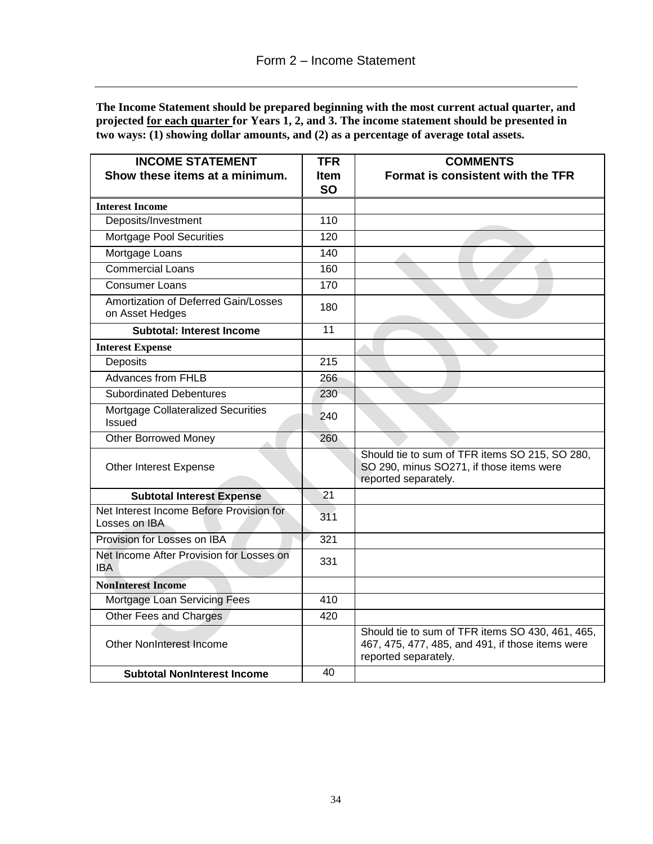**The Income Statement should be prepared beginning with the most current actual quarter, and projected for each quarter for Years 1, 2, and 3. The income statement should be presented in two ways: (1) showing dollar amounts, and (2) as a percentage of average total assets.** 

| <b>INCOME STATEMENT</b>                                   | <b>TFR</b>               | <b>COMMENTS</b>                                                                                                              |
|-----------------------------------------------------------|--------------------------|------------------------------------------------------------------------------------------------------------------------------|
| Show these items at a minimum.                            | <b>Item</b><br><b>SO</b> | Format is consistent with the TFR                                                                                            |
| <b>Interest Income</b>                                    |                          |                                                                                                                              |
| Deposits/Investment                                       | 110                      |                                                                                                                              |
| Mortgage Pool Securities                                  | 120                      |                                                                                                                              |
| Mortgage Loans                                            | 140                      |                                                                                                                              |
| <b>Commercial Loans</b>                                   | 160                      |                                                                                                                              |
| <b>Consumer Loans</b>                                     | 170                      |                                                                                                                              |
| Amortization of Deferred Gain/Losses<br>on Asset Hedges   | 180                      |                                                                                                                              |
| <b>Subtotal: Interest Income</b>                          | 11                       |                                                                                                                              |
| <b>Interest Expense</b>                                   |                          |                                                                                                                              |
| Deposits                                                  | 215                      |                                                                                                                              |
| <b>Advances from FHLB</b>                                 | 266                      |                                                                                                                              |
| <b>Subordinated Debentures</b>                            | 230                      |                                                                                                                              |
| Mortgage Collateralized Securities<br><b>Issued</b>       | 240                      |                                                                                                                              |
| <b>Other Borrowed Money</b>                               | 260                      |                                                                                                                              |
| Other Interest Expense                                    |                          | Should tie to sum of TFR items SO 215, SO 280,<br>SO 290, minus SO271, if those items were<br>reported separately.           |
| <b>Subtotal Interest Expense</b>                          | 21                       |                                                                                                                              |
| Net Interest Income Before Provision for<br>Losses on IBA | 311                      |                                                                                                                              |
| Provision for Losses on IBA                               | 321                      |                                                                                                                              |
| Net Income After Provision for Losses on<br>IBA           | 331                      |                                                                                                                              |
| <b>NonInterest Income</b>                                 |                          |                                                                                                                              |
| Mortgage Loan Servicing Fees                              | 410                      |                                                                                                                              |
| Other Fees and Charges                                    | 420                      |                                                                                                                              |
| <b>Other NonInterest Income</b>                           |                          | Should tie to sum of TFR items SO 430, 461, 465,<br>467, 475, 477, 485, and 491, if those items were<br>reported separately. |
| <b>Subtotal NonInterest Income</b>                        | 40                       |                                                                                                                              |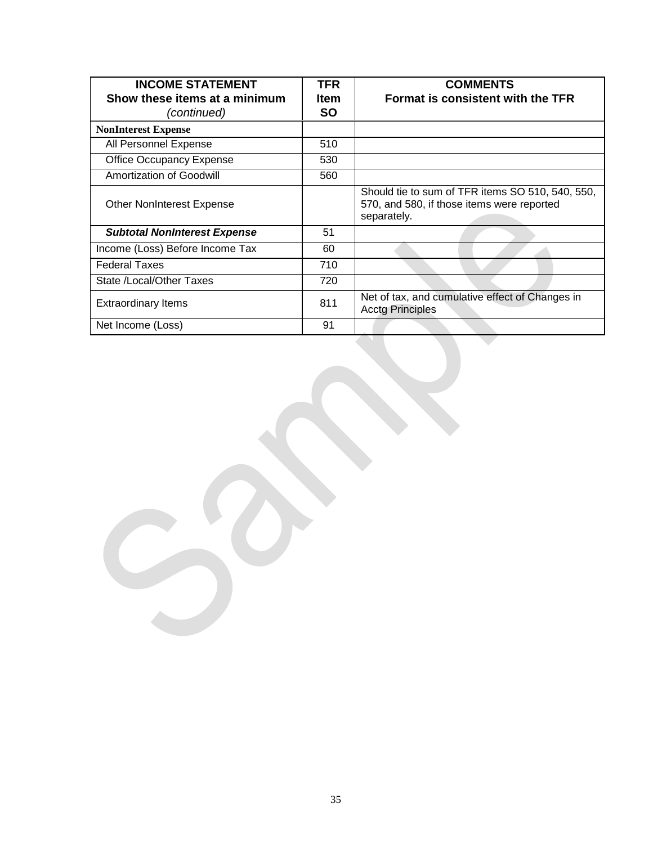| <b>INCOME STATEMENT</b><br>Show these items at a minimum<br>(continued) | <b>TFR</b><br><b>Item</b><br><b>SO</b> | <b>COMMENTS</b><br>Format is consistent with the TFR                                                          |
|-------------------------------------------------------------------------|----------------------------------------|---------------------------------------------------------------------------------------------------------------|
| <b>NonInterest Expense</b>                                              |                                        |                                                                                                               |
| All Personnel Expense                                                   | 510                                    |                                                                                                               |
| <b>Office Occupancy Expense</b>                                         | 530                                    |                                                                                                               |
| Amortization of Goodwill                                                | 560                                    |                                                                                                               |
| <b>Other NonInterest Expense</b>                                        |                                        | Should tie to sum of TFR items SO 510, 540, 550,<br>570, and 580, if those items were reported<br>separately. |
| <b>Subtotal NonInterest Expense</b>                                     | 51                                     |                                                                                                               |
| Income (Loss) Before Income Tax                                         | 60                                     |                                                                                                               |
| <b>Federal Taxes</b>                                                    | 710                                    |                                                                                                               |
| State /Local/Other Taxes                                                | 720                                    |                                                                                                               |
| <b>Extraordinary Items</b>                                              | 811                                    | Net of tax, and cumulative effect of Changes in<br><b>Acctg Principles</b>                                    |
| Net Income (Loss)                                                       | 91                                     |                                                                                                               |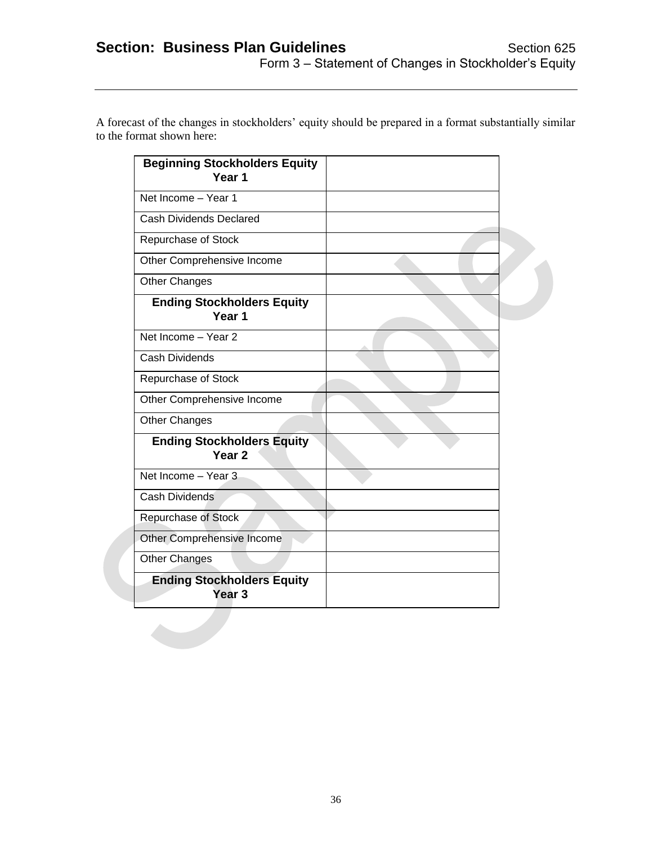|                           | A forecast of the changes in stockholders' equity should be prepared in a format substantially similar |
|---------------------------|--------------------------------------------------------------------------------------------------------|
| to the format shown here: |                                                                                                        |
|                           |                                                                                                        |

| Net Income - Year 1<br><b>Cash Dividends Declared</b><br>Repurchase of Stock<br>Other Comprehensive Income<br><b>Other Changes</b><br><b>Ending Stockholders Equity</b><br>Year <sub>1</sub><br>Net Income - Year 2<br><b>Cash Dividends</b><br>Repurchase of Stock<br>Other Comprehensive Income<br>Other Changes<br><b>Ending Stockholders Equity</b><br>Year <sub>2</sub><br>Net Income - Year 3<br>Cash Dividends<br>Repurchase of Stock<br>Other Comprehensive Income<br>Other Changes<br><b>Ending Stockholders Equity</b><br>Year <sub>3</sub> | <b>Beginning Stockholders Equity</b><br>Year <sub>1</sub> |  |
|-------------------------------------------------------------------------------------------------------------------------------------------------------------------------------------------------------------------------------------------------------------------------------------------------------------------------------------------------------------------------------------------------------------------------------------------------------------------------------------------------------------------------------------------------------|-----------------------------------------------------------|--|
|                                                                                                                                                                                                                                                                                                                                                                                                                                                                                                                                                       |                                                           |  |
|                                                                                                                                                                                                                                                                                                                                                                                                                                                                                                                                                       |                                                           |  |
|                                                                                                                                                                                                                                                                                                                                                                                                                                                                                                                                                       |                                                           |  |
|                                                                                                                                                                                                                                                                                                                                                                                                                                                                                                                                                       |                                                           |  |
|                                                                                                                                                                                                                                                                                                                                                                                                                                                                                                                                                       |                                                           |  |
|                                                                                                                                                                                                                                                                                                                                                                                                                                                                                                                                                       |                                                           |  |
|                                                                                                                                                                                                                                                                                                                                                                                                                                                                                                                                                       |                                                           |  |
|                                                                                                                                                                                                                                                                                                                                                                                                                                                                                                                                                       |                                                           |  |
|                                                                                                                                                                                                                                                                                                                                                                                                                                                                                                                                                       |                                                           |  |
|                                                                                                                                                                                                                                                                                                                                                                                                                                                                                                                                                       |                                                           |  |
|                                                                                                                                                                                                                                                                                                                                                                                                                                                                                                                                                       |                                                           |  |
|                                                                                                                                                                                                                                                                                                                                                                                                                                                                                                                                                       |                                                           |  |
|                                                                                                                                                                                                                                                                                                                                                                                                                                                                                                                                                       |                                                           |  |
|                                                                                                                                                                                                                                                                                                                                                                                                                                                                                                                                                       |                                                           |  |
|                                                                                                                                                                                                                                                                                                                                                                                                                                                                                                                                                       |                                                           |  |
|                                                                                                                                                                                                                                                                                                                                                                                                                                                                                                                                                       |                                                           |  |
|                                                                                                                                                                                                                                                                                                                                                                                                                                                                                                                                                       |                                                           |  |
|                                                                                                                                                                                                                                                                                                                                                                                                                                                                                                                                                       |                                                           |  |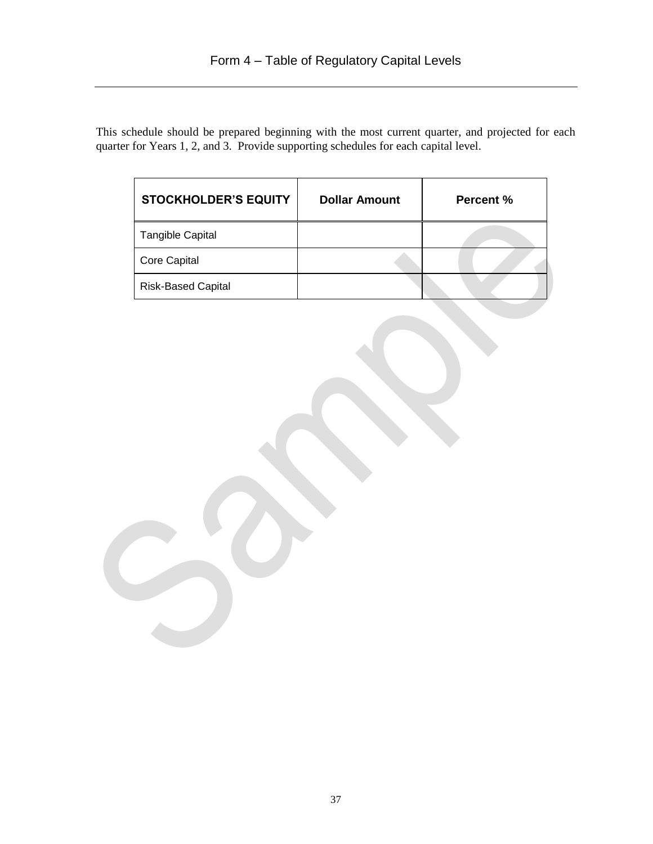This schedule should be prepared beginning with the most current quarter, and projected for each quarter for Years 1, 2, and 3. Provide supporting schedules for each capital level.

| <b>STOCKHOLDER'S EQUITY</b> | <b>Dollar Amount</b> | Percent % |
|-----------------------------|----------------------|-----------|
| <b>Tangible Capital</b>     |                      |           |
| <b>Core Capital</b>         |                      |           |
| <b>Risk-Based Capital</b>   |                      |           |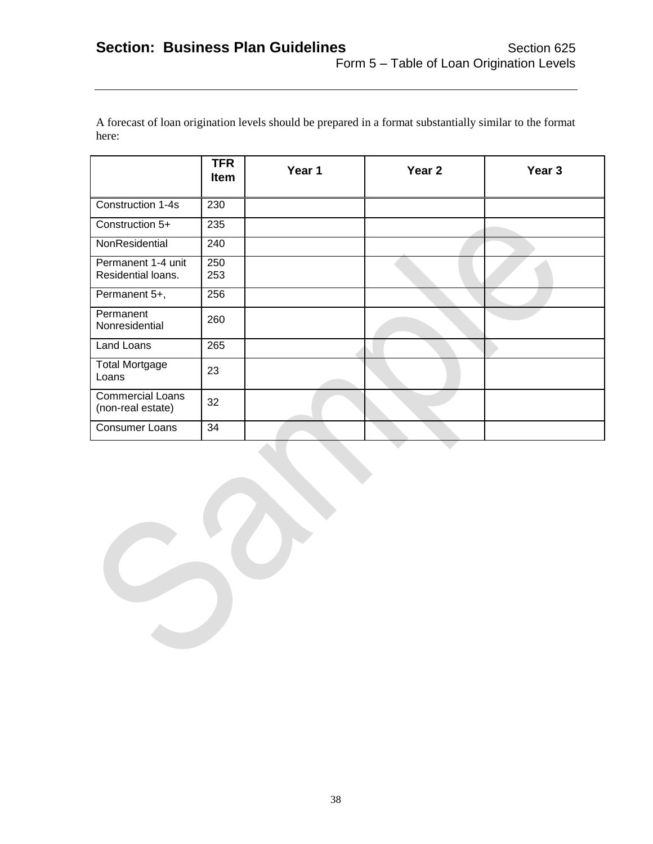A forecast of loan origination levels should be prepared in a format substantially similar to the format here:

|                                              | <b>TFR</b><br><b>Item</b> | Year 1 | Year <sub>2</sub> | Year <sub>3</sub> |
|----------------------------------------------|---------------------------|--------|-------------------|-------------------|
| Construction 1-4s                            | 230                       |        |                   |                   |
| Construction 5+                              | 235                       |        |                   |                   |
| NonResidential                               | 240                       |        |                   |                   |
| Permanent 1-4 unit<br>Residential loans.     | 250<br>253                |        |                   |                   |
| Permanent 5+,                                | 256                       |        |                   |                   |
| Permanent<br>Nonresidential                  | 260                       |        |                   |                   |
| Land Loans                                   | 265                       |        |                   |                   |
| <b>Total Mortgage</b><br>Loans               | 23                        |        |                   |                   |
| <b>Commercial Loans</b><br>(non-real estate) | 32                        |        |                   |                   |
| <b>Consumer Loans</b>                        | 34                        |        |                   |                   |